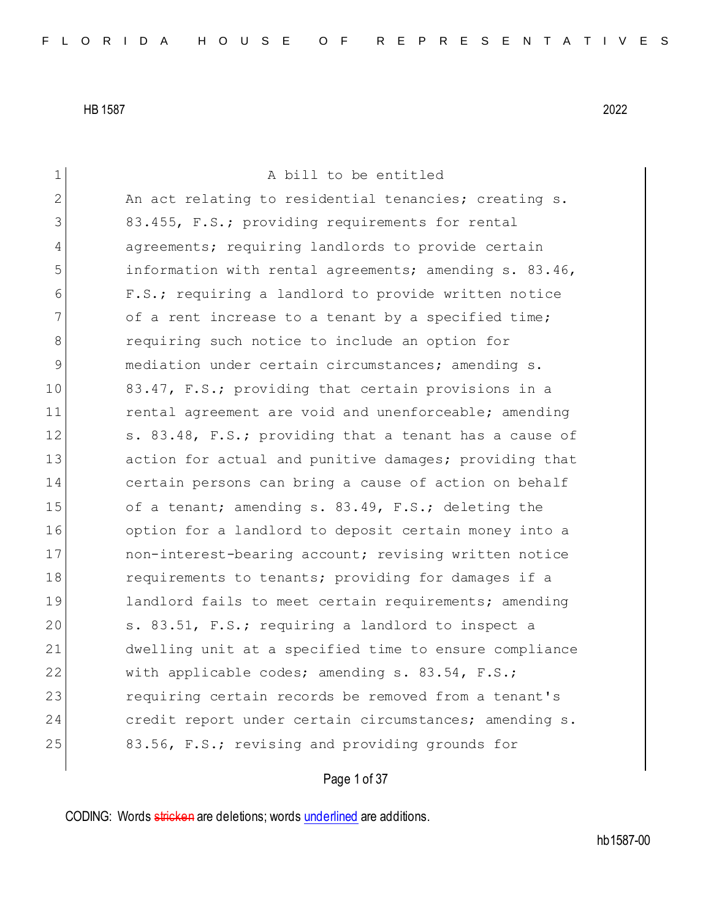| 1  | A bill to be entitled                                  |
|----|--------------------------------------------------------|
| 2  | An act relating to residential tenancies; creating s.  |
| 3  | 83.455, F.S.; providing requirements for rental        |
| 4  | agreements; requiring landlords to provide certain     |
| 5  | information with rental agreements; amending s. 83.46, |
| 6  | F.S.; requiring a landlord to provide written notice   |
| 7  | of a rent increase to a tenant by a specified time;    |
| 8  | requiring such notice to include an option for         |
| 9  | mediation under certain circumstances; amending s.     |
| 10 | 83.47, F.S.; providing that certain provisions in a    |
| 11 | rental agreement are void and unenforceable; amending  |
| 12 | s. 83.48, F.S.; providing that a tenant has a cause of |
| 13 | action for actual and punitive damages; providing that |
| 14 | certain persons can bring a cause of action on behalf  |
| 15 | of a tenant; amending s. 83.49, F.S.; deleting the     |
| 16 | option for a landlord to deposit certain money into a  |
| 17 | non-interest-bearing account; revising written notice  |
| 18 | requirements to tenants; providing for damages if a    |
| 19 | landlord fails to meet certain requirements; amending  |
| 20 | s. 83.51, F.S.; requiring a landlord to inspect a      |
| 21 | dwelling unit at a specified time to ensure compliance |
| 22 | with applicable codes; amending s. 83.54, F.S.;        |
| 23 | requiring certain records be removed from a tenant's   |
| 24 | credit report under certain circumstances; amending s. |
| 25 | 83.56, F.S.; revising and providing grounds for        |
|    |                                                        |

Page 1 of 37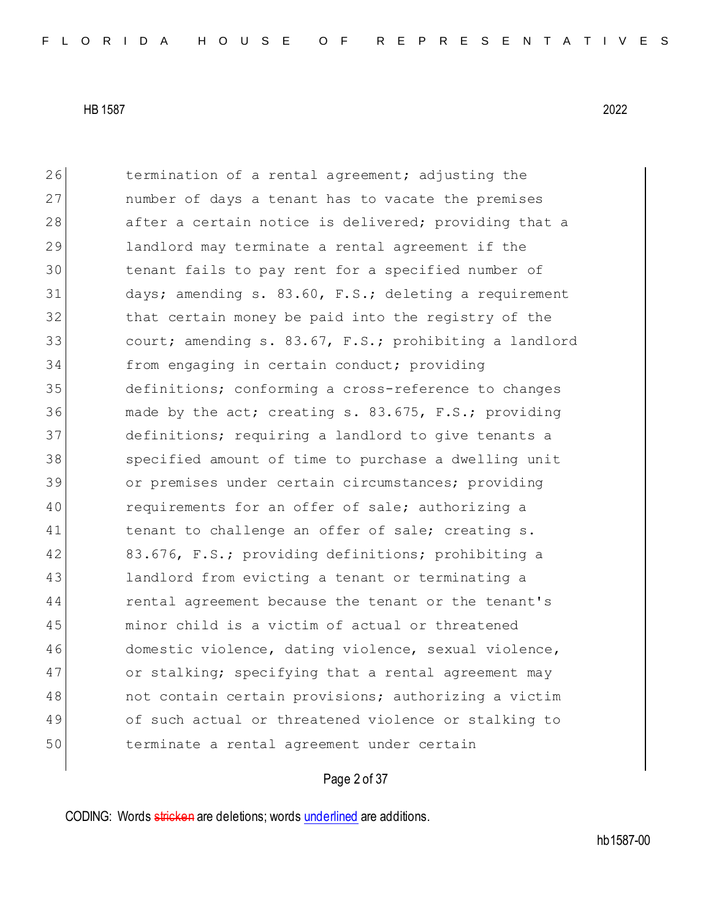26 termination of a rental agreement; adjusting the 27 **humber of days a tenant has to vacate the premises** 28 after a certain notice is delivered; providing that a 29 landlord may terminate a rental agreement if the 30 tenant fails to pay rent for a specified number of 31 days; amending s. 83.60, F.S.; deleting a requirement 32 that certain money be paid into the registry of the 33 **court;** amending s. 83.67, F.S.; prohibiting a landlord 34 from engaging in certain conduct; providing 35 definitions; conforming a cross-reference to changes 36 made by the act; creating s. 83.675, F.S.; providing 37 definitions; requiring a landlord to give tenants a 38 specified amount of time to purchase a dwelling unit 39 or premises under certain circumstances; providing 40 requirements for an offer of sale; authorizing a 41 tenant to challenge an offer of sale; creating s. 42 83.676, F.S.; providing definitions; prohibiting a 43 landlord from evicting a tenant or terminating a 44 rental agreement because the tenant or the tenant's 45 minor child is a victim of actual or threatened 46 domestic violence, dating violence, sexual violence, 47 or stalking; specifying that a rental agreement may 48 not contain certain provisions; authorizing a victim 49 of such actual or threatened violence or stalking to 50 terminate a rental agreement under certain

# Page 2 of 37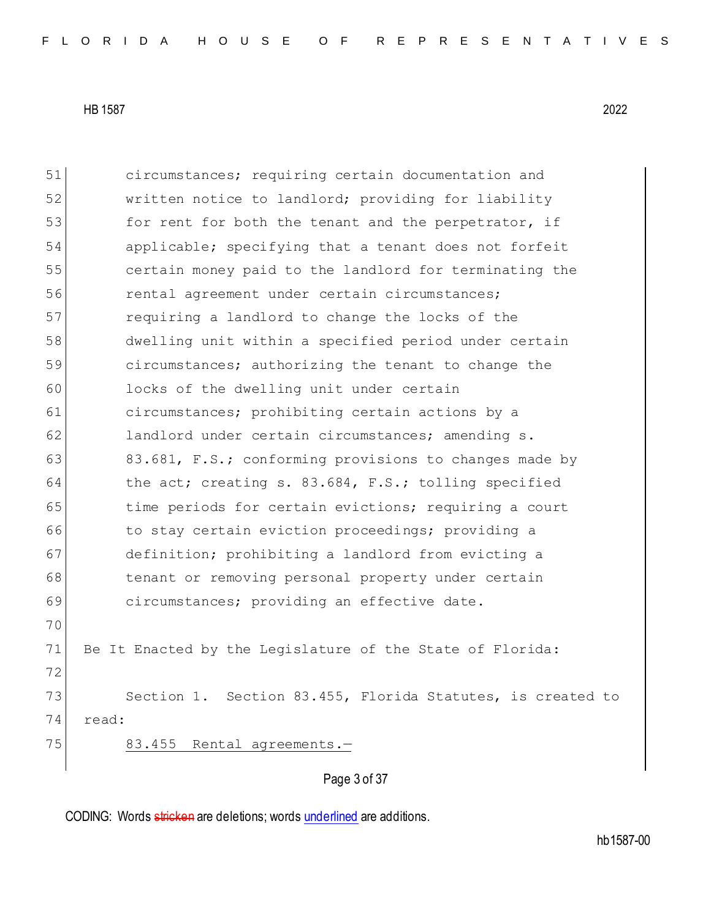51 circumstances; requiring certain documentation and 52 written notice to landlord; providing for liability 53 for rent for both the tenant and the perpetrator, if 54 applicable; specifying that a tenant does not forfeit 55 certain money paid to the landlord for terminating the 56 **rental agreement under certain circumstances;** 57 requiring a landlord to change the locks of the 58 dwelling unit within a specified period under certain 59 circumstances; authorizing the tenant to change the 60 locks of the dwelling unit under certain 61 circumstances; prohibiting certain actions by a 62 landlord under certain circumstances; amending s. 63 83.681, F.S.; conforming provisions to changes made by 64 the act; creating s. 83.684, F.S.; tolling specified 65 time periods for certain evictions; requiring a court 66 to stay certain eviction proceedings; providing a 67 definition; prohibiting a landlord from evicting a 68 tenant or removing personal property under certain 69 circumstances; providing an effective date. 70 71 Be It Enacted by the Legislature of the State of Florida: 72 73 Section 1. Section 83.455, Florida Statutes, is created to 74 read: 75 83.455 Rental agreements.

Page 3 of 37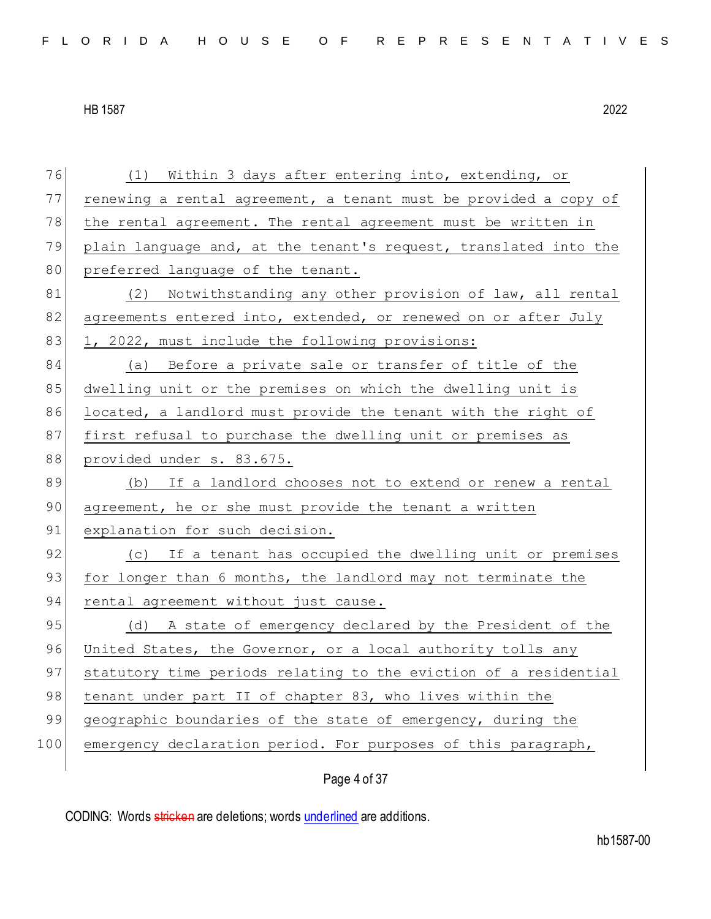| 76  | (1) Within 3 days after entering into, extending, or             |
|-----|------------------------------------------------------------------|
| 77  | renewing a rental agreement, a tenant must be provided a copy of |
| 78  | the rental agreement. The rental agreement must be written in    |
| 79  | plain language and, at the tenant's request, translated into the |
| 80  | preferred language of the tenant.                                |
| 81  | (2) Notwithstanding any other provision of law, all rental       |
| 82  | agreements entered into, extended, or renewed on or after July   |
| 83  | 1, 2022, must include the following provisions:                  |
| 84  | (a) Before a private sale or transfer of title of the            |
| 85  | dwelling unit or the premises on which the dwelling unit is      |
| 86  | located, a landlord must provide the tenant with the right of    |
| 87  | first refusal to purchase the dwelling unit or premises as       |
| 88  | provided under s. 83.675.                                        |
| 89  | (b) If a landlord chooses not to extend or renew a rental        |
| 90  | agreement, he or she must provide the tenant a written           |
| 91  | explanation for such decision.                                   |
| 92  | (c) If a tenant has occupied the dwelling unit or premises       |
| 93  | for longer than 6 months, the landlord may not terminate the     |
| 94  | rental agreement without just cause.                             |
| 95  | (d) A state of emergency declared by the President of the        |
| 96  | United States, the Governor, or a local authority tolls any      |
| 97  | statutory time periods relating to the eviction of a residential |
| 98  | tenant under part II of chapter 83, who lives within the         |
| 99  | geographic boundaries of the state of emergency, during the      |
| 100 | emergency declaration period. For purposes of this paragraph,    |
|     | Page 4 of 37                                                     |
|     |                                                                  |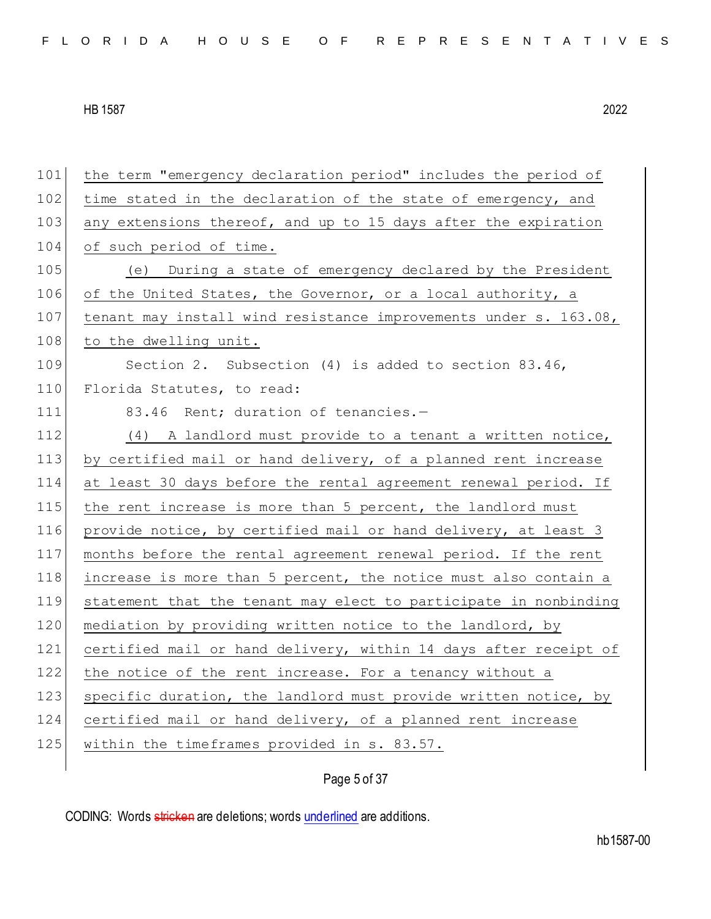101 the term "emergency declaration period" includes the period of 102 time stated in the declaration of the state of emergency, and 103 any extensions thereof, and up to 15 days after the expiration 104 of such period of time. 105 (e) During a state of emergency declared by the President 106 of the United States, the Governor, or a local authority, a 107 tenant may install wind resistance improvements under s. 163.08, 108 to the dwelling unit. 109 Section 2. Subsection (4) is added to section 83.46, 110 Florida Statutes, to read: 111 83.46 Rent; duration of tenancies.-112 (4) A landlord must provide to a tenant a written notice, 113 by certified mail or hand delivery, of a planned rent increase 114 at least 30 days before the rental agreement renewal period. If 115 the rent increase is more than 5 percent, the landlord must 116 provide notice, by certified mail or hand delivery, at least 3 117 months before the rental agreement renewal period. If the rent 118 increase is more than 5 percent, the notice must also contain a 119 statement that the tenant may elect to participate in nonbinding 120 mediation by providing written notice to the landlord, by 121 certified mail or hand delivery, within 14 days after receipt of 122 the notice of the rent increase. For a tenancy without a 123 specific duration, the landlord must provide written notice, by 124 certified mail or hand delivery, of a planned rent increase 125 within the timeframes provided in s. 83.57.

Page 5 of 37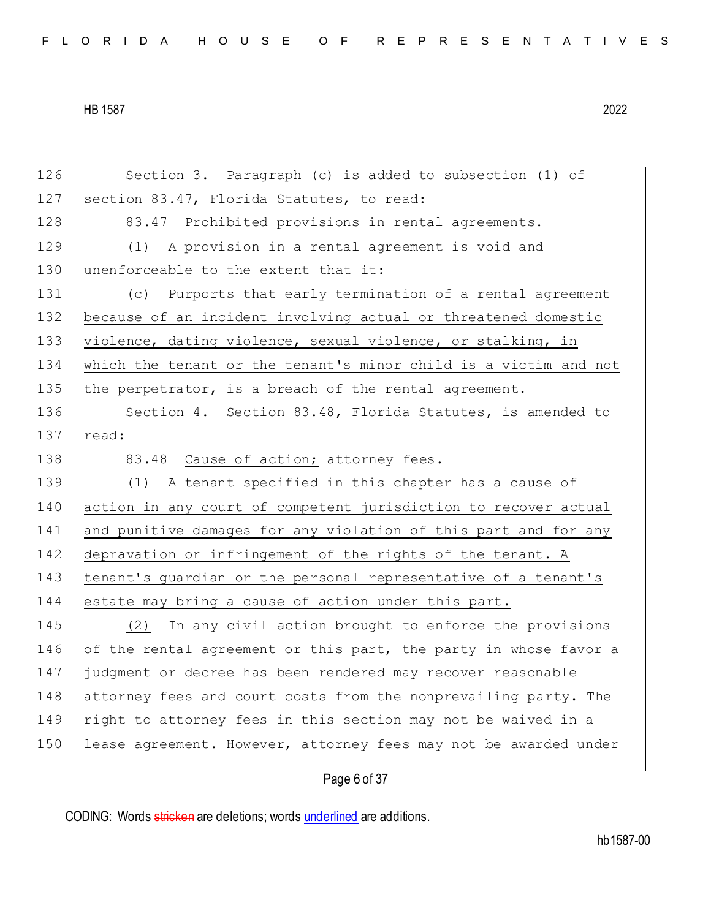| 126 | Section 3. Paragraph (c) is added to subsection (1) of           |
|-----|------------------------------------------------------------------|
| 127 | section 83.47, Florida Statutes, to read:                        |
| 128 | 83.47 Prohibited provisions in rental agreements.-               |
| 129 | (1) A provision in a rental agreement is void and                |
| 130 | unenforceable to the extent that it:                             |
| 131 | (c) Purports that early termination of a rental agreement        |
| 132 | because of an incident involving actual or threatened domestic   |
| 133 | violence, dating violence, sexual violence, or stalking, in      |
| 134 | which the tenant or the tenant's minor child is a victim and not |
| 135 | the perpetrator, is a breach of the rental agreement.            |
| 136 | Section 4. Section 83.48, Florida Statutes, is amended to        |
| 137 | read:                                                            |
| 138 | 83.48 Cause of action; attorney fees.-                           |
| 139 | (1) A tenant specified in this chapter has a cause of            |
| 140 | action in any court of competent jurisdiction to recover actual  |
| 141 | and punitive damages for any violation of this part and for any  |
| 142 | depravation or infringement of the rights of the tenant. A       |
| 143 | tenant's guardian or the personal representative of a tenant's   |
| 144 | estate may bring a cause of action under this part.              |
| 145 | (2) In any civil action brought to enforce the provisions        |
| 146 | of the rental agreement or this part, the party in whose favor a |
| 147 | judgment or decree has been rendered may recover reasonable      |
| 148 | attorney fees and court costs from the nonprevailing party. The  |
| 149 | right to attorney fees in this section may not be waived in a    |
| 150 | lease agreement. However, attorney fees may not be awarded under |
|     |                                                                  |

# Page 6 of 37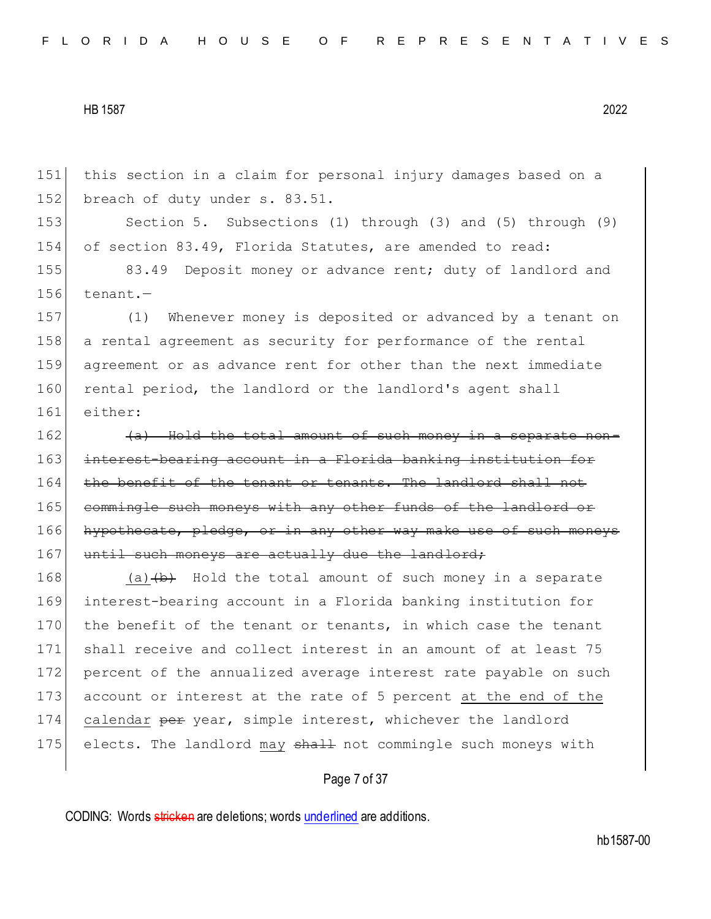151 this section in a claim for personal injury damages based on a 152 breach of duty under s. 83.51.

153 Section 5. Subsections (1) through (3) and (5) through (9) 154 of section 83.49, Florida Statutes, are amended to read:

155 83.49 Deposit money or advance rent; duty of landlord and  $156$  tenant.-

157 (1) Whenever money is deposited or advanced by a tenant on 158 a rental agreement as security for performance of the rental 159 agreement or as advance rent for other than the next immediate 160 rental period, the landlord or the landlord's agent shall 161 either:

 $162$  (a) Hold the total amount of such money in a separate non-163 interest-bearing account in a Florida banking institution for 164 the benefit of the tenant or tenants. The landlord shall not 165 commingle such moneys with any other funds of the landlord or 166 hypothecate, pledge, or in any other way make use of such moneys 167 until such moneys are actually due the landlord;

 $168$  (a)  $\leftrightarrow$  Hold the total amount of such money in a separate 169 interest-bearing account in a Florida banking institution for 170 the benefit of the tenant or tenants, in which case the tenant 171 shall receive and collect interest in an amount of at least 75 172 percent of the annualized average interest rate payable on such 173 account or interest at the rate of 5 percent at the end of the 174 calendar per year, simple interest, whichever the landlord 175 elects. The landlord may shall not commingle such moneys with

Page 7 of 37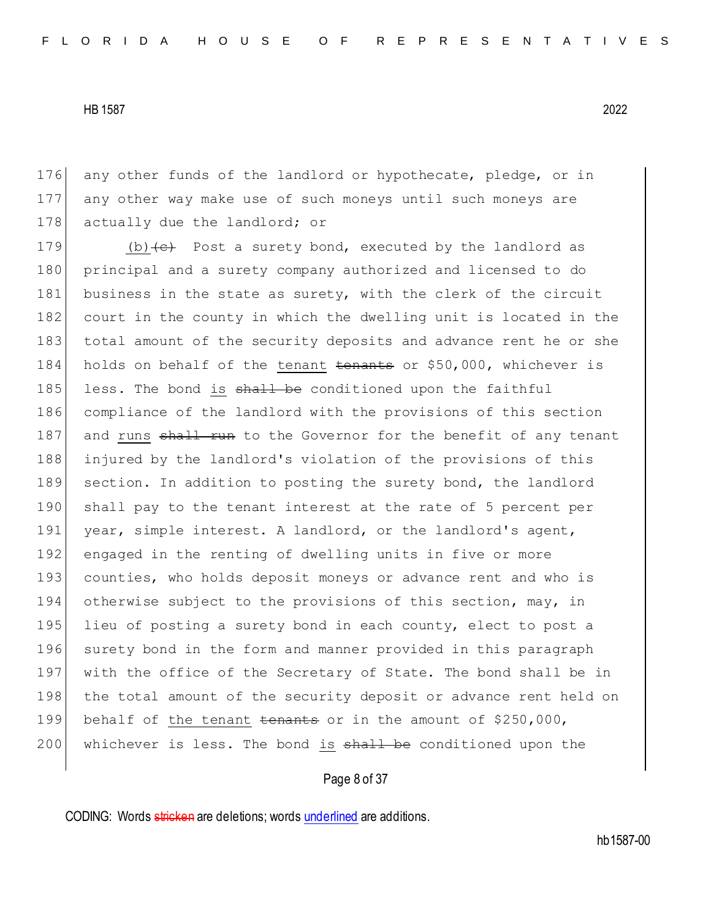176 any other funds of the landlord or hypothecate, pledge, or in 177 any other way make use of such moneys until such moneys are 178 actually due the landlord; or

179 (b) $\leftarrow$  Post a surety bond, executed by the landlord as 180 | principal and a surety company authorized and licensed to do 181 business in the state as surety, with the clerk of the circuit 182 court in the county in which the dwelling unit is located in the 183 total amount of the security deposits and advance rent he or she 184 holds on behalf of the tenant tenants or \$50,000, whichever is 185 less. The bond is  $shall$  be conditioned upon the faithful 186 compliance of the landlord with the provisions of this section 187 and runs shall run to the Governor for the benefit of any tenant 188 injured by the landlord's violation of the provisions of this 189 section. In addition to posting the surety bond, the landlord 190 shall pay to the tenant interest at the rate of 5 percent per 191 year, simple interest. A landlord, or the landlord's agent, 192 engaged in the renting of dwelling units in five or more 193 counties, who holds deposit moneys or advance rent and who is 194 otherwise subject to the provisions of this section, may, in 195 lieu of posting a surety bond in each county, elect to post a 196 surety bond in the form and manner provided in this paragraph 197 with the office of the Secretary of State. The bond shall be in 198 the total amount of the security deposit or advance rent held on 199 behalf of the tenant tenants or in the amount of \$250,000,  $200$  whichever is less. The bond is  $\frac{1}{2}$  be conditioned upon the

## Page 8 of 37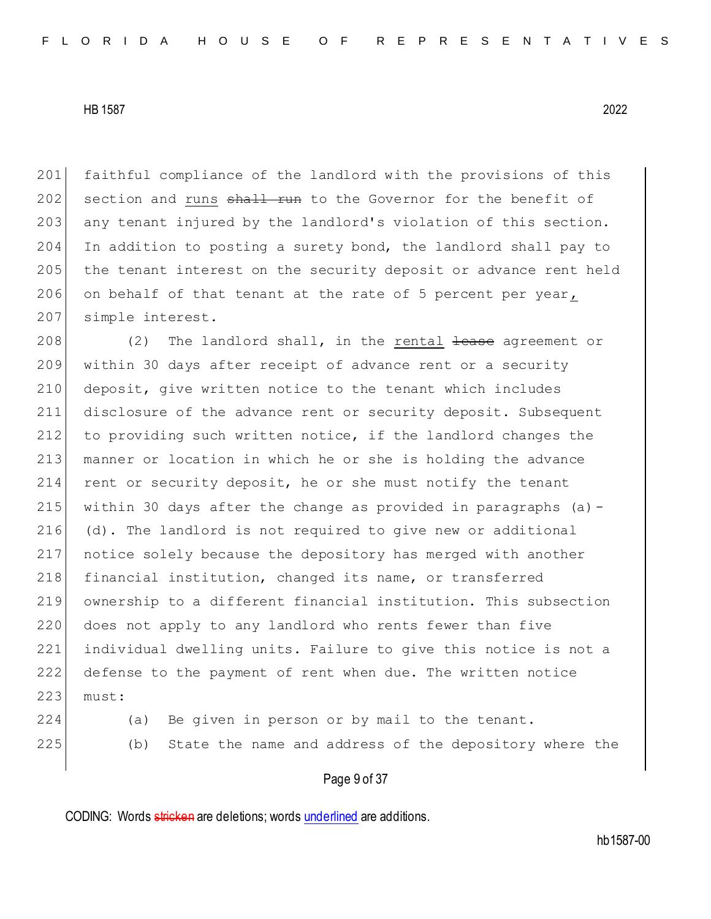201 faithful compliance of the landlord with the provisions of this 202 section and runs shall run to the Governor for the benefit of 203 any tenant injured by the landlord's violation of this section. 204 In addition to posting a surety bond, the landlord shall pay to 205 the tenant interest on the security deposit or advance rent held 206 on behalf of that tenant at the rate of 5 percent per year, 207 simple interest.

 (2) The landlord shall, in the rental  $\frac{1}{2}$  ease agreement or within 30 days after receipt of advance rent or a security deposit, give written notice to the tenant which includes disclosure of the advance rent or security deposit. Subsequent to providing such written notice, if the landlord changes the manner or location in which he or she is holding the advance 214 rent or security deposit, he or she must notify the tenant 215 within 30 days after the change as provided in paragraphs (a)  $-$  (d). The landlord is not required to give new or additional notice solely because the depository has merged with another 218 financial institution, changed its name, or transferred ownership to a different financial institution. This subsection 220 does not apply to any landlord who rents fewer than five individual dwelling units. Failure to give this notice is not a defense to the payment of rent when due. The written notice 223 must:

- 
- 224 (a) Be given in person or by mail to the tenant. 225 (b) State the name and address of the depository where the

## Page 9 of 37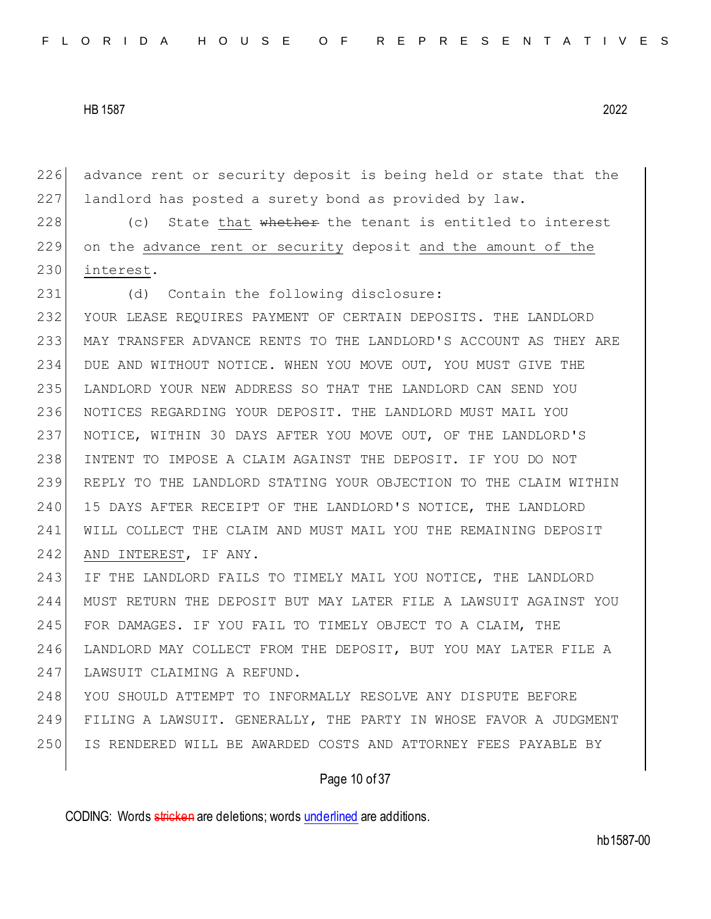advance rent or security deposit is being held or state that the 227 landlord has posted a surety bond as provided by law.

228  $\vert$  (c) State that whether the tenant is entitled to interest on the advance rent or security deposit and the amount of the interest.

231 (d) Contain the following disclosure: YOUR LEASE REQUIRES PAYMENT OF CERTAIN DEPOSITS. THE LANDLORD MAY TRANSFER ADVANCE RENTS TO THE LANDLORD'S ACCOUNT AS THEY ARE DUE AND WITHOUT NOTICE. WHEN YOU MOVE OUT, YOU MUST GIVE THE LANDLORD YOUR NEW ADDRESS SO THAT THE LANDLORD CAN SEND YOU NOTICES REGARDING YOUR DEPOSIT. THE LANDLORD MUST MAIL YOU NOTICE, WITHIN 30 DAYS AFTER YOU MOVE OUT, OF THE LANDLORD'S INTENT TO IMPOSE A CLAIM AGAINST THE DEPOSIT. IF YOU DO NOT REPLY TO THE LANDLORD STATING YOUR OBJECTION TO THE CLAIM WITHIN 15 DAYS AFTER RECEIPT OF THE LANDLORD'S NOTICE, THE LANDLORD WILL COLLECT THE CLAIM AND MUST MAIL YOU THE REMAINING DEPOSIT 242 AND INTEREST, IF ANY.

 IF THE LANDLORD FAILS TO TIMELY MAIL YOU NOTICE, THE LANDLORD MUST RETURN THE DEPOSIT BUT MAY LATER FILE A LAWSUIT AGAINST YOU FOR DAMAGES. IF YOU FAIL TO TIMELY OBJECT TO A CLAIM, THE LANDLORD MAY COLLECT FROM THE DEPOSIT, BUT YOU MAY LATER FILE A 247 LAWSUIT CLAIMING A REFUND.

 YOU SHOULD ATTEMPT TO INFORMALLY RESOLVE ANY DISPUTE BEFORE FILING A LAWSUIT. GENERALLY, THE PARTY IN WHOSE FAVOR A JUDGMENT IS RENDERED WILL BE AWARDED COSTS AND ATTORNEY FEES PAYABLE BY

## Page 10 of 37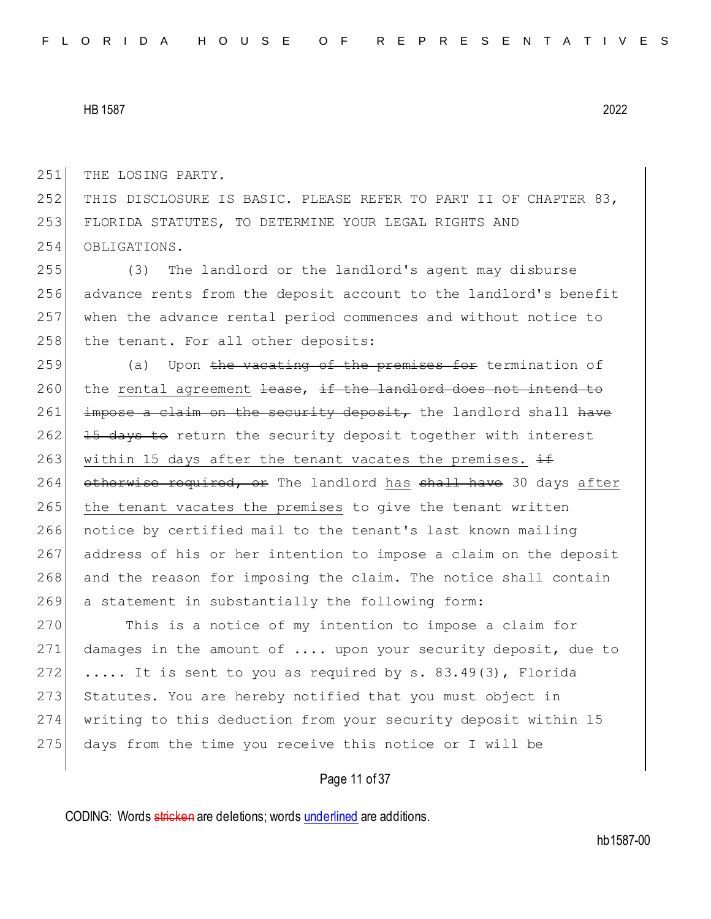251 THE LOSING PARTY.

252 THIS DISCLOSURE IS BASIC. PLEASE REFER TO PART II OF CHAPTER 83, 253 FLORIDA STATUTES, TO DETERMINE YOUR LEGAL RIGHTS AND 254 OBLIGATIONS.

 (3) The landlord or the landlord's agent may disburse advance rents from the deposit account to the landlord's benefit when the advance rental period commences and without notice to 258 the tenant. For all other deposits:

259 (a) Upon the vacating of the premises for termination of  $260$  the rental agreement <del>lease, if the landlord does not intend to</del>  $261$  impose a claim on the security deposit, the landlord shall have 262 15 days to return the security deposit together with interest 263 within 15 days after the tenant vacates the premises.  $\pm$ 264 otherwise required, or The landlord has shall have 30 days after 265 the tenant vacates the premises to give the tenant written 266 notice by certified mail to the tenant's last known mailing 267 address of his or her intention to impose a claim on the deposit 268 and the reason for imposing the claim. The notice shall contain 269 a statement in substantially the following form:

270 This is a notice of my intention to impose a claim for 271 damages in the amount of .... upon your security deposit, due to 272  $\ldots$  It is sent to you as required by s. 83.49(3), Florida 273 Statutes. You are hereby notified that you must object in 274 writing to this deduction from your security deposit within 15 275 days from the time you receive this notice or I will be

Page 11 of 37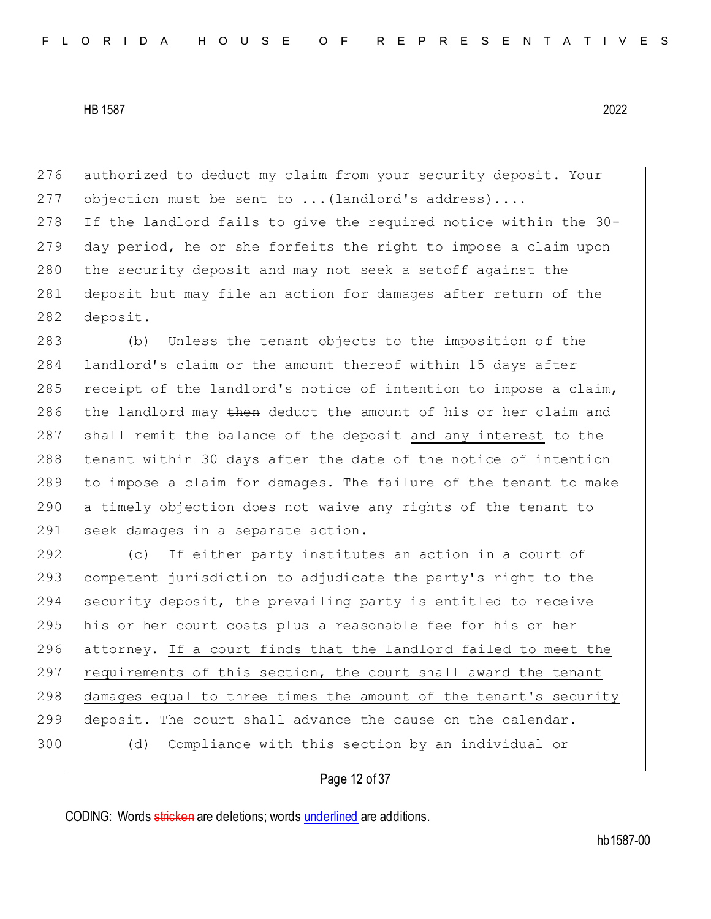276 authorized to deduct my claim from your security deposit. Your 277 objection must be sent to  $\ldots$  (landlord's address).... 278 If the landlord fails to give the required notice within the 30-279 day period, he or she forfeits the right to impose a claim upon 280 the security deposit and may not seek a setoff against the 281 deposit but may file an action for damages after return of the 282 deposit.

283 (b) Unless the tenant objects to the imposition of the 284 landlord's claim or the amount thereof within 15 days after 285 receipt of the landlord's notice of intention to impose a claim, 286 the landlord may then deduct the amount of his or her claim and 287 shall remit the balance of the deposit and any interest to the 288 tenant within 30 days after the date of the notice of intention 289 to impose a claim for damages. The failure of the tenant to make 290 a timely objection does not waive any rights of the tenant to 291 seek damages in a separate action.

292 (c) If either party institutes an action in a court of 293 competent jurisdiction to adjudicate the party's right to the 294 security deposit, the prevailing party is entitled to receive 295 his or her court costs plus a reasonable fee for his or her 296 attorney. If a court finds that the landlord failed to meet the 297 requirements of this section, the court shall award the tenant 298 damages equal to three times the amount of the tenant's security 299 deposit. The court shall advance the cause on the calendar. 300 (d) Compliance with this section by an individual or

## Page 12 of 37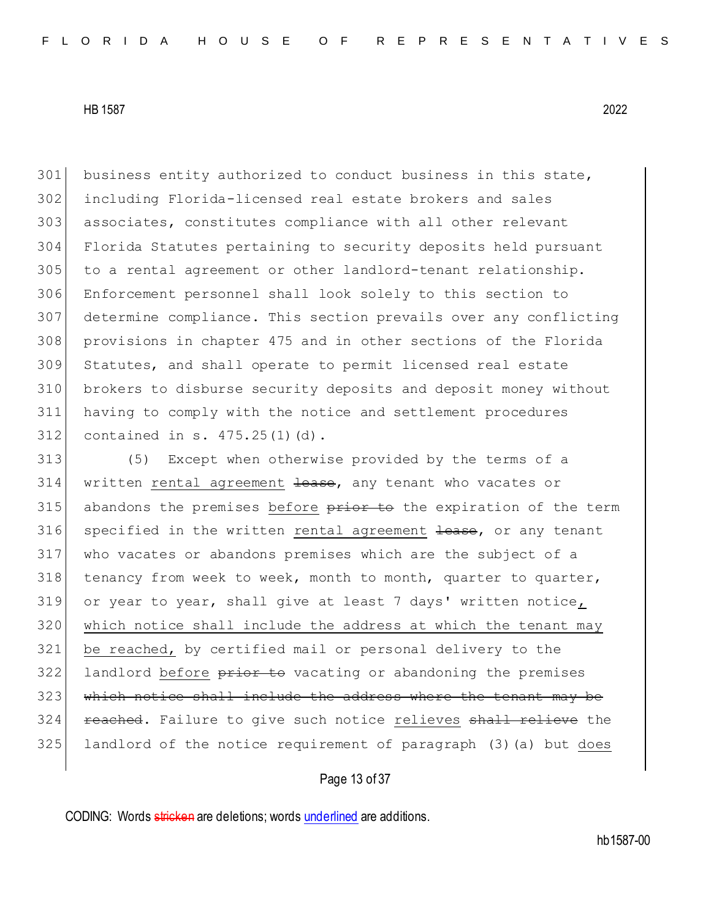business entity authorized to conduct business in this state, including Florida-licensed real estate brokers and sales 303 associates, constitutes compliance with all other relevant Florida Statutes pertaining to security deposits held pursuant to a rental agreement or other landlord-tenant relationship. Enforcement personnel shall look solely to this section to determine compliance. This section prevails over any conflicting provisions in chapter 475 and in other sections of the Florida Statutes, and shall operate to permit licensed real estate brokers to disburse security deposits and deposit money without having to comply with the notice and settlement procedures contained in s. 475.25(1)(d).

 (5) Except when otherwise provided by the terms of a 314 written rental agreement lease, any tenant who vacates or 315 abandons the premises before prior to the expiration of the term 316 specified in the written rental agreement lease, or any tenant who vacates or abandons premises which are the subject of a tenancy from week to week, month to month, quarter to quarter, or year to year, shall give at least 7 days' written notice, which notice shall include the address at which the tenant may be reached, by certified mail or personal delivery to the 322 landlord before prior to vacating or abandoning the premises which notice shall include the address where the tenant may be **reached.** Failure to give such notice relieves shall relieve the landlord of the notice requirement of paragraph (3)(a) but does

# Page 13 of 37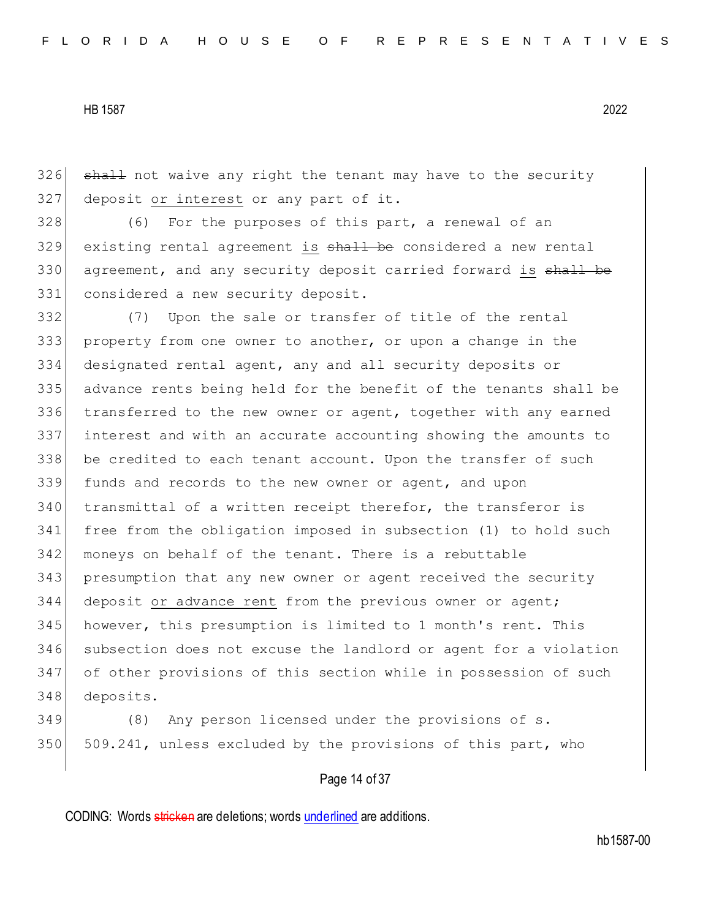326 shall not waive any right the tenant may have to the security 327 deposit or interest or any part of it.

328 (6) For the purposes of this part, a renewal of an 329 existing rental agreement is shall be considered a new rental 330 agreement, and any security deposit carried forward is shall be 331 considered a new security deposit.

 (7) Upon the sale or transfer of title of the rental property from one owner to another, or upon a change in the designated rental agent, any and all security deposits or advance rents being held for the benefit of the tenants shall be transferred to the new owner or agent, together with any earned interest and with an accurate accounting showing the amounts to 338 be credited to each tenant account. Upon the transfer of such funds and records to the new owner or agent, and upon transmittal of a written receipt therefor, the transferor is free from the obligation imposed in subsection (1) to hold such 342 moneys on behalf of the tenant. There is a rebuttable presumption that any new owner or agent received the security deposit or advance rent from the previous owner or agent; 345 however, this presumption is limited to 1 month's rent. This subsection does not excuse the landlord or agent for a violation of other provisions of this section while in possession of such deposits.

349 (8) Any person licensed under the provisions of s. 350 509.241, unless excluded by the provisions of this part, who

## Page 14 of 37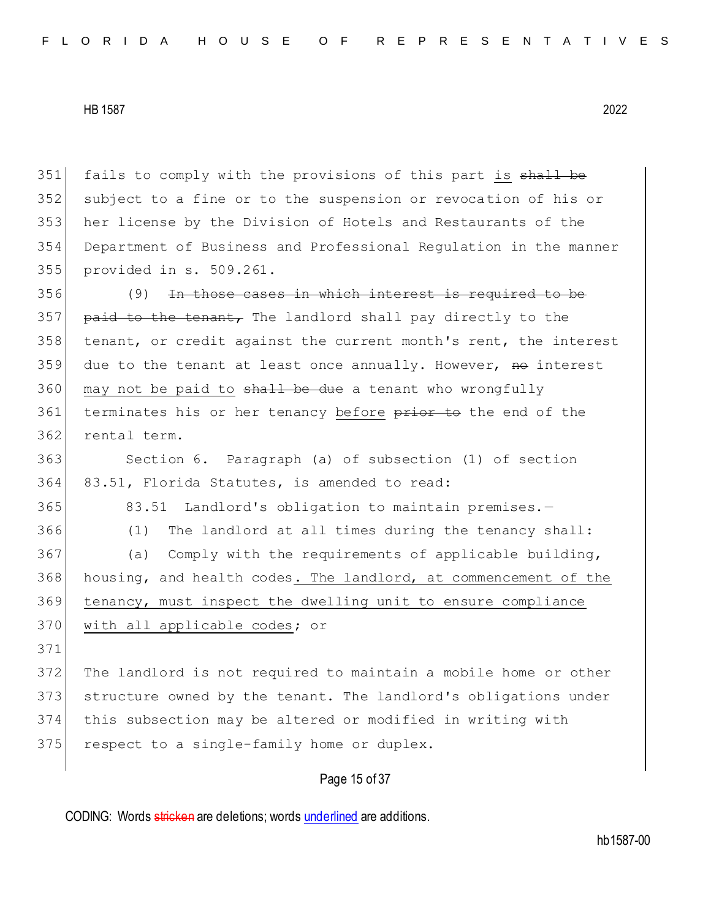351 fails to comply with the provisions of this part is shall be subject to a fine or to the suspension or revocation of his or her license by the Division of Hotels and Restaurants of the Department of Business and Professional Regulation in the manner provided in s. 509.261. (9) In those cases in which interest is required to be 357 paid to the tenant, The landlord shall pay directly to the tenant, or credit against the current month's rent, the interest due to the tenant at least once annually. However, no interest may not be paid to  $shall$  be due a tenant who wrongfully 361 terminates his or her tenancy before prior to the end of the rental term. Section 6. Paragraph (a) of subsection (1) of section 83.51, Florida Statutes, is amended to read: 365 83.51 Landlord's obligation to maintain premises. - (1) The landlord at all times during the tenancy shall: 367 (a) Comply with the requirements of applicable building, housing, and health codes. The landlord, at commencement of the

369 tenancy, must inspect the dwelling unit to ensure compliance

# 370 with all applicable codes; or

371

 The landlord is not required to maintain a mobile home or other structure owned by the tenant. The landlord's obligations under this subsection may be altered or modified in writing with 375 respect to a single-family home or duplex.

# Page 15 of 37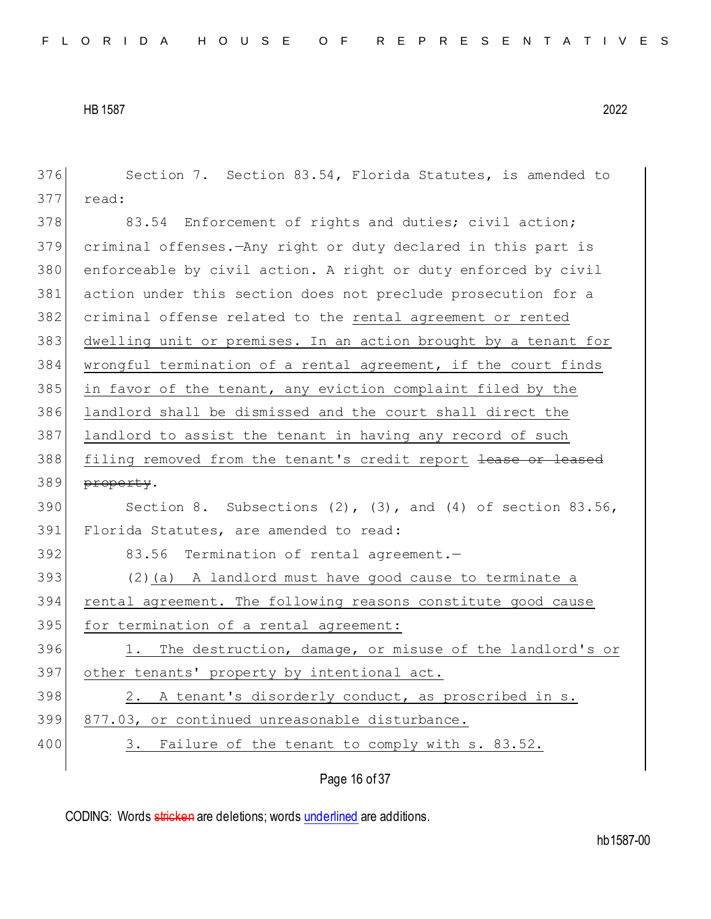| 376 | Section 7. Section 83.54, Florida Statutes, is amended to          |
|-----|--------------------------------------------------------------------|
| 377 | read:                                                              |
| 378 | 83.54 Enforcement of rights and duties; civil action;              |
| 379 | criminal offenses. - Any right or duty declared in this part is    |
| 380 | enforceable by civil action. A right or duty enforced by civil     |
| 381 | action under this section does not preclude prosecution for a      |
| 382 | criminal offense related to the rental agreement or rented         |
| 383 | dwelling unit or premises. In an action brought by a tenant for    |
| 384 | wrongful termination of a rental agreement, if the court finds     |
| 385 | in favor of the tenant, any eviction complaint filed by the        |
| 386 | landlord shall be dismissed and the court shall direct the         |
| 387 | landlord to assist the tenant in having any record of such         |
| 388 | filing removed from the tenant's credit report lease or leased     |
| 389 | property.                                                          |
| 390 | Section 8. Subsections $(2)$ , $(3)$ , and $(4)$ of section 83.56, |
| 391 | Florida Statutes, are amended to read:                             |
| 392 | 83.56 Termination of rental agreement.-                            |
| 393 | (2) (a) A landlord must have good cause to terminate a             |
| 394 | rental agreement. The following reasons constitute good cause      |
| 395 | for termination of a rental agreement:                             |
| 396 | 1. The destruction, damage, or misuse of the landlord's or         |
| 397 | other tenants' property by intentional act.                        |
| 398 | A tenant's disorderly conduct, as proscribed in s.<br>2.           |
| 399 | 877.03, or continued unreasonable disturbance.                     |
| 400 | Failure of the tenant to comply with s. 83.52.<br>3.               |
|     | Page 16 of 37                                                      |
|     |                                                                    |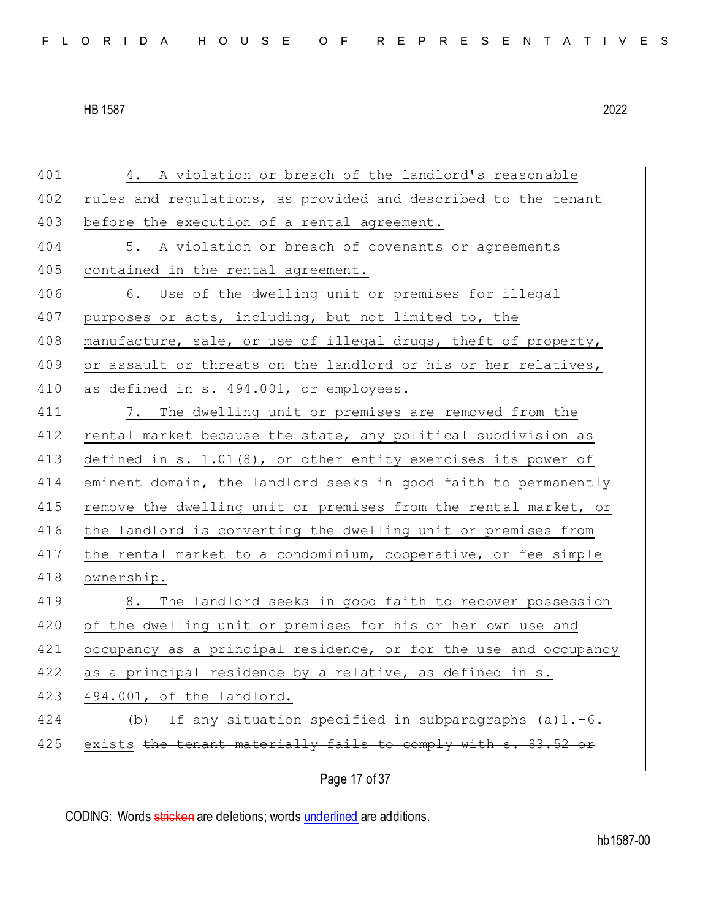401 4. A violation or breach of the landlord's reasonable 402 rules and regulations, as provided and described to the tenant 403 before the execution of a rental agreement. 404 5. A violation or breach of covenants or agreements 405 contained in the rental agreement. 406 6. Use of the dwelling unit or premises for illegal 407 purposes or acts, including, but not limited to, the 408 manufacture, sale, or use of illegal drugs, theft of property, 409 or assault or threats on the landlord or his or her relatives, 410 as defined in s. 494.001, or employees. 411 7. The dwelling unit or premises are removed from the 412 rental market because the state, any political subdivision as 413 defined in s. 1.01(8), or other entity exercises its power of 414 eminent domain, the landlord seeks in good faith to permanently 415 remove the dwelling unit or premises from the rental market, or 416 the landlord is converting the dwelling unit or premises from 417 the rental market to a condominium, cooperative, or fee simple 418 ownership. 419 8. The landlord seeks in good faith to recover possession 420 of the dwelling unit or premises for his or her own use and 421 occupancy as a principal residence, or for the use and occupancy 422 as a principal residence by a relative, as defined in s. 423 494.001, of the landlord. 424 (b) If any situation specified in subparagraphs (a)1.-6. 425 exists the tenant materially fails to comply with s. 83.52 or

Page 17 of 37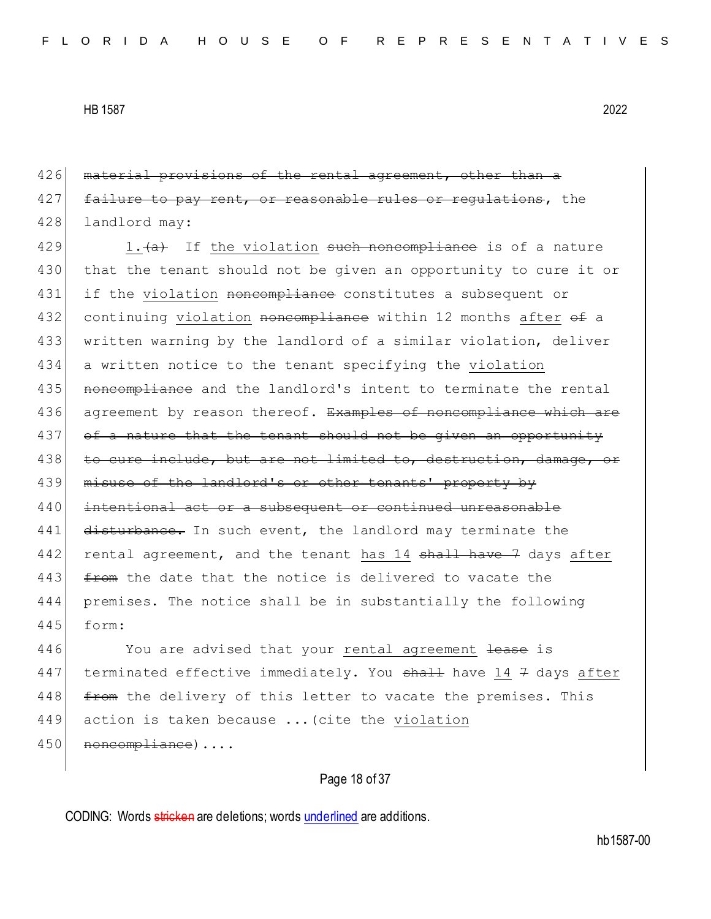426 material provisions of the rental agreement, other than a 427 failure to pay rent, or reasonable rules or regulations, the 428 landlord may:

429 1. $\leftarrow$  If the violation such noncompliance is of a nature 430 that the tenant should not be given an opportunity to cure it or 431 if the violation noncompliance constitutes a subsequent or 432 continuing violation noncompliance within 12 months after of a 433 written warning by the landlord of a similar violation, deliver 434 a written notice to the tenant specifying the violation 435 noncompliance and the landlord's intent to terminate the rental 436 agreement by reason thereof. Examples of noncompliance which are 437 of a nature that the tenant should not be given an opportunity 438 to cure include, but are not limited to, destruction, damage, or 439 misuse of the landlord's or other tenants' property by 440 intentional act or a subsequent or continued unreasonable 441 disturbance. In such event, the landlord may terminate the 442 rental agreement, and the tenant has 14 shall have 7 days after 443  $f$  from the date that the notice is delivered to vacate the 444 premises. The notice shall be in substantially the following 445 form:

446 You are advised that your rental agreement lease is 447 terminated effective immediately. You shall have 14 7 days after 448 from the delivery of this letter to vacate the premises. This 449 action is taken because ... (cite the violation 450 | noncompliance)....

Page 18 of 37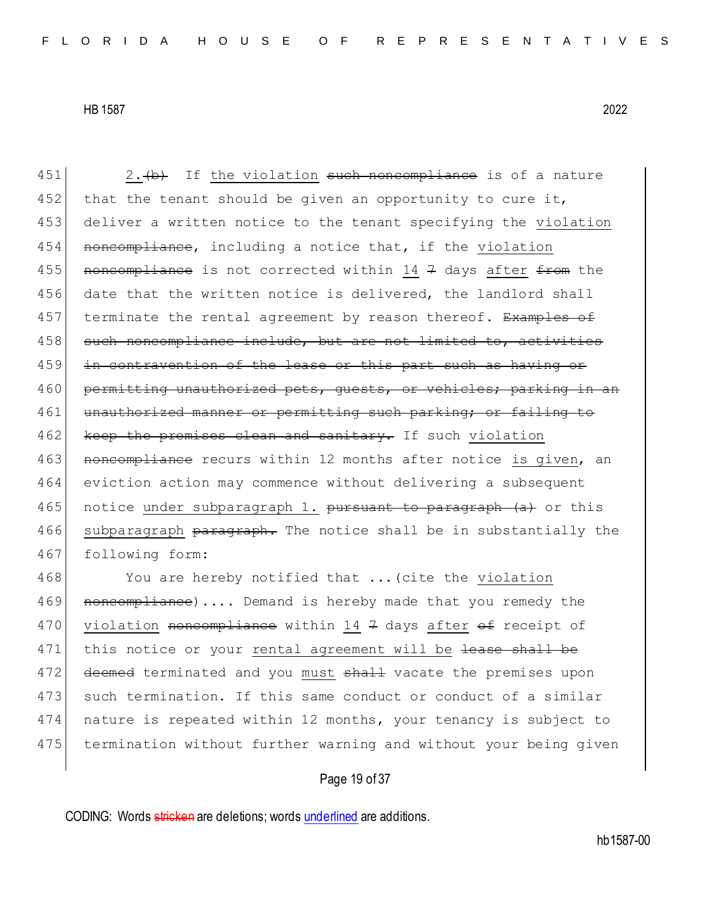451  $\vert$  2.  $\langle$ b) If the violation such noncompliance is of a nature 452 that the tenant should be given an opportunity to cure it, 453 deliver a written notice to the tenant specifying the violation 454 noncompliance, including a notice that, if the violation 455 noncompliance is not corrected within 14 7 days after  $f$  from the 456 date that the written notice is delivered, the landlord shall 457 terminate the rental agreement by reason thereof. Examples of 458 such noncompliance include, but are not limited to, activities 459 in contravention of the lease or this part such as having or 460 permitting unauthorized pets, quests, or vehicles; parking in an 461 unauthorized manner or permitting such parking; or failing to 462 keep the premises clean and sanitary. If such violation 463 noncompliance recurs within 12 months after notice is given, an 464 eviction action may commence without delivering a subsequent 465 notice under subparagraph 1. pursuant to paragraph (a) or this 466 subparagraph paragraph. The notice shall be in substantially the 467 following form:

468 You are hereby notified that ... (cite the violation 469 **noncompliance)....** Demand is hereby made that you remedy the 470 violation noncompliance within 14 7 days after  $\theta$  receipt of 471 this notice or your rental agreement will be lease shall be 472 deemed terminated and you must shall vacate the premises upon 473 such termination. If this same conduct or conduct of a similar 474 nature is repeated within 12 months, your tenancy is subject to 475 termination without further warning and without your being given

# Page 19 of 37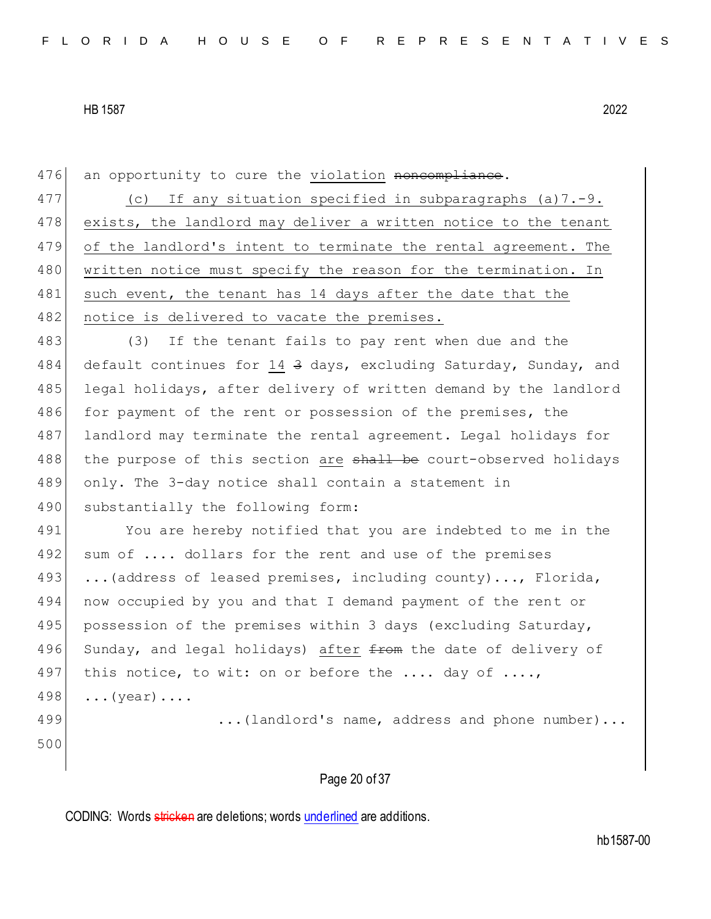| 476 | an opportunity to cure the violation noncompliance.              |
|-----|------------------------------------------------------------------|
| 477 | If any situation specified in subparagraphs $(a) 7.-9.$<br>(C)   |
| 478 | exists, the landlord may deliver a written notice to the tenant  |
| 479 | of the landlord's intent to terminate the rental agreement. The  |
| 480 | written notice must specify the reason for the termination. In   |
| 481 | such event, the tenant has 14 days after the date that the       |
| 482 | notice is delivered to vacate the premises.                      |
| 483 | If the tenant fails to pay rent when due and the<br>(3)          |
| 484 | default continues for 14 3 days, excluding Saturday, Sunday, and |
| 485 | legal holidays, after delivery of written demand by the landlord |
| 486 | for payment of the rent or possession of the premises, the       |
| 487 | landlord may terminate the rental agreement. Legal holidays for  |
| 488 | the purpose of this section are shall be court-observed holidays |
| 489 | only. The 3-day notice shall contain a statement in              |
| 490 | substantially the following form:                                |
| 491 | You are hereby notified that you are indebted to me in the       |
| 492 | sum of  dollars for the rent and use of the premises             |
| 493 | (address of leased premises, including county), Florida,         |
| 494 | now occupied by you and that I demand payment of the rent or     |
| 495 | possession of the premises within 3 days (excluding Saturday,    |
| 496 | Sunday, and legal holidays) after from the date of delivery of   |
| 497 | this notice, to wit: on or before the  day of ,                  |
| 498 | $\ldots$ (year) $\ldots$ .                                       |
| 499 | (landlord's name, address and phone number)                      |
| 500 |                                                                  |
|     |                                                                  |
|     | Page 20 of 37                                                    |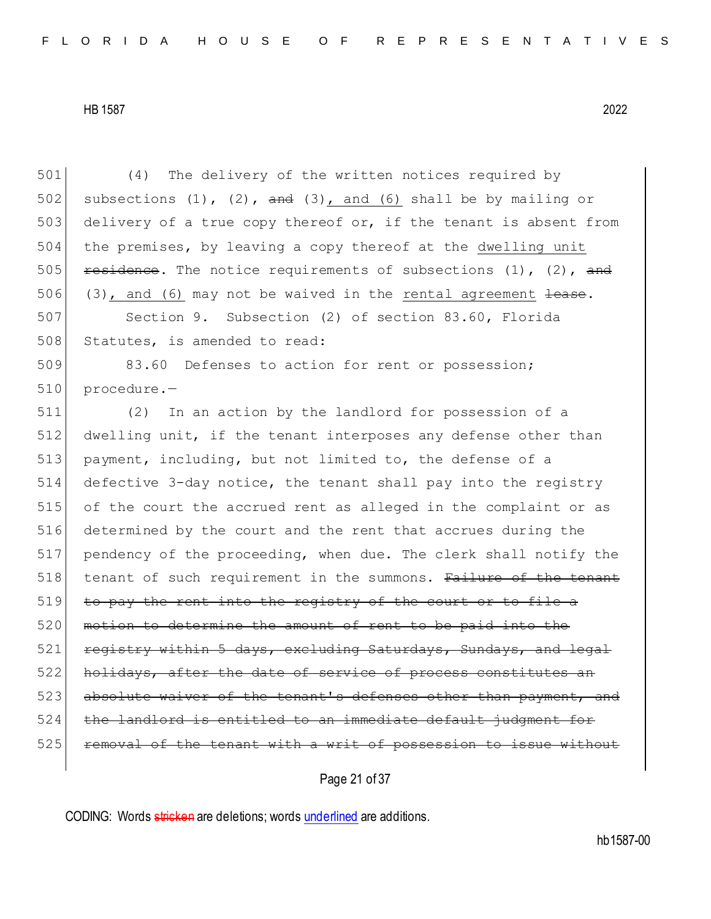501 (4) The delivery of the written notices required by 502 subsections  $(1)$ ,  $(2)$ ,  $\frac{1}{2}$ ,  $(3)$ , and  $(6)$  shall be by mailing or 503 delivery of a true copy thereof or, if the tenant is absent from 504 the premises, by leaving a copy thereof at the dwelling unit 505 residence. The notice requirements of subsections  $(1)$ ,  $(2)$ , and 506 (3), and (6) may not be waived in the rental agreement  $\frac{1}{1}$ 507 Section 9. Subsection (2) of section 83.60, Florida 508 Statutes, is amended to read: 509 83.60 Defenses to action for rent or possession; 510 procedure.-511 (2) In an action by the landlord for possession of a 512 dwelling unit, if the tenant interposes any defense other than 513 payment, including, but not limited to, the defense of a 514 defective 3-day notice, the tenant shall pay into the registry 515 of the court the accrued rent as alleged in the complaint or as 516 determined by the court and the rent that accrues during the 517 pendency of the proceeding, when due. The clerk shall notify the 518 tenant of such requirement in the summons. Failure of the tenant  $519$  to pay the rent into the registry of the court 520 motion to determine the amount of rent to be paid into the 521 registry within 5 days, excluding Saturdays, Sundays, and legal 522 holidays, after the date of service of process constitutes an 523 absolute waiver of the tenant's defenses other than payment, and 524 the landlord is entitled to an immediate default judgment for 525 **removal of the tenant with a writ of possession to issue without** 

Page 21 of 37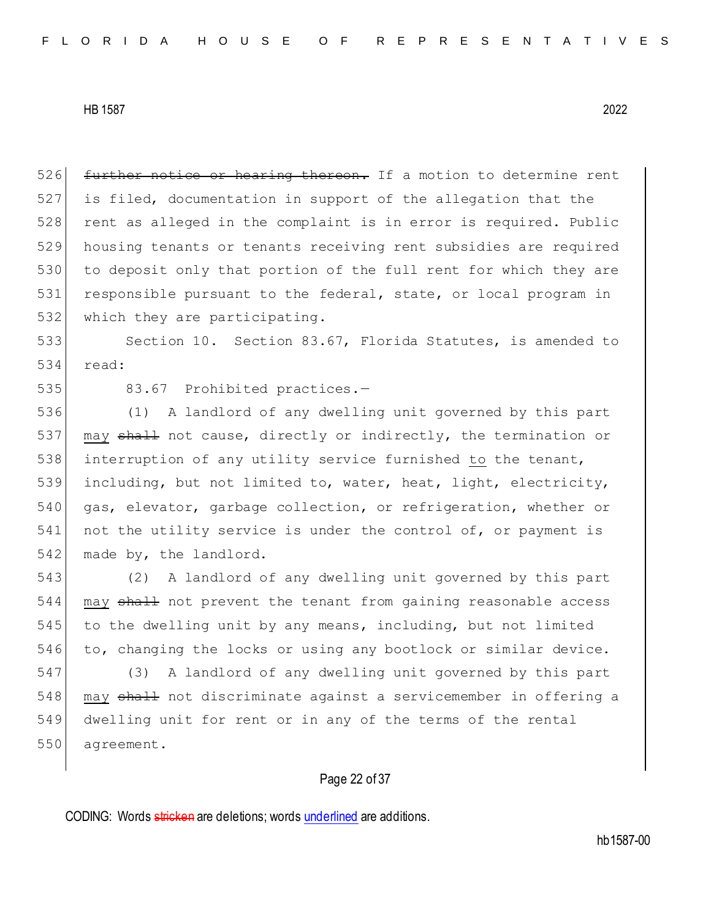526 further notice or hearing thereon. If a motion to determine rent 527 is filed, documentation in support of the allegation that the 528 rent as alleged in the complaint is in error is required. Public 529 housing tenants or tenants receiving rent subsidies are required 530 to deposit only that portion of the full rent for which they are 531 responsible pursuant to the federal, state, or local program in 532 which they are participating.

533 Section 10. Section 83.67, Florida Statutes, is amended to 534 read:

535 83.67 Prohibited practices.-

536 (1) A landlord of any dwelling unit governed by this part 537 may shall not cause, directly or indirectly, the termination or 538 interruption of any utility service furnished to the tenant, 539 including, but not limited to, water, heat, light, electricity, 540 gas, elevator, garbage collection, or refrigeration, whether or 541 not the utility service is under the control of, or payment is 542 made by, the landlord.

543 (2) A landlord of any dwelling unit governed by this part 544 may shall not prevent the tenant from gaining reasonable access 545 to the dwelling unit by any means, including, but not limited 546 to, changing the locks or using any bootlock or similar device.

547 (3) A landlord of any dwelling unit governed by this part 548 may shall not discriminate against a servicemember in offering a 549 dwelling unit for rent or in any of the terms of the rental 550 agreement.

# Page 22 of 37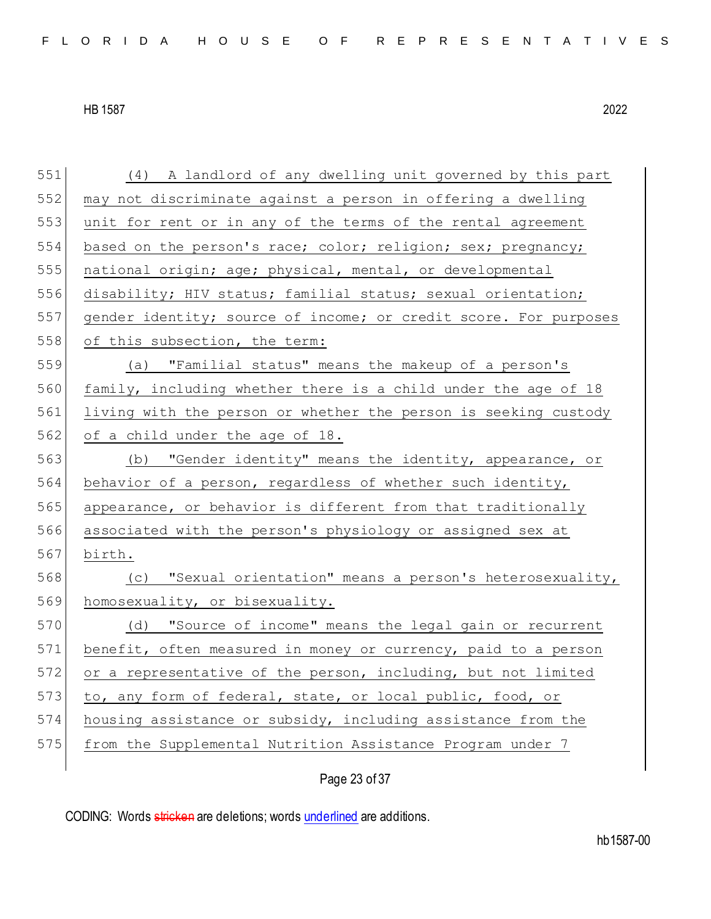551 (4) A landlord of any dwelling unit governed by this part

HB 1587 2022

552 may not discriminate against a person in offering a dwelling 553 unit for rent or in any of the terms of the rental agreement 554 based on the person's race; color; religion; sex; pregnancy; 555 national origin; age; physical, mental, or developmental 556 disability; HIV status; familial status; sexual orientation; 557 gender identity; source of income; or credit score. For purposes 558 of this subsection, the term: 559 (a) "Familial status" means the makeup of a person's 560 family, including whether there is a child under the age of 18 561 living with the person or whether the person is seeking custody 562 of a child under the age of 18. 563 (b) "Gender identity" means the identity, appearance, or 564 behavior of a person, regardless of whether such identity, 565 appearance, or behavior is different from that traditionally 566 associated with the person's physiology or assigned sex at 567 birth. 568 (c) "Sexual orientation" means a person's heterosexuality, 569 homosexuality, or bisexuality. 570 (d) "Source of income" means the legal gain or recurrent 571 benefit, often measured in money or currency, paid to a person 572 or a representative of the person, including, but not limited 573 to, any form of federal, state, or local public, food, or 574 housing assistance or subsidy, including assistance from the 575 from the Supplemental Nutrition Assistance Program under 7

Page 23 of 37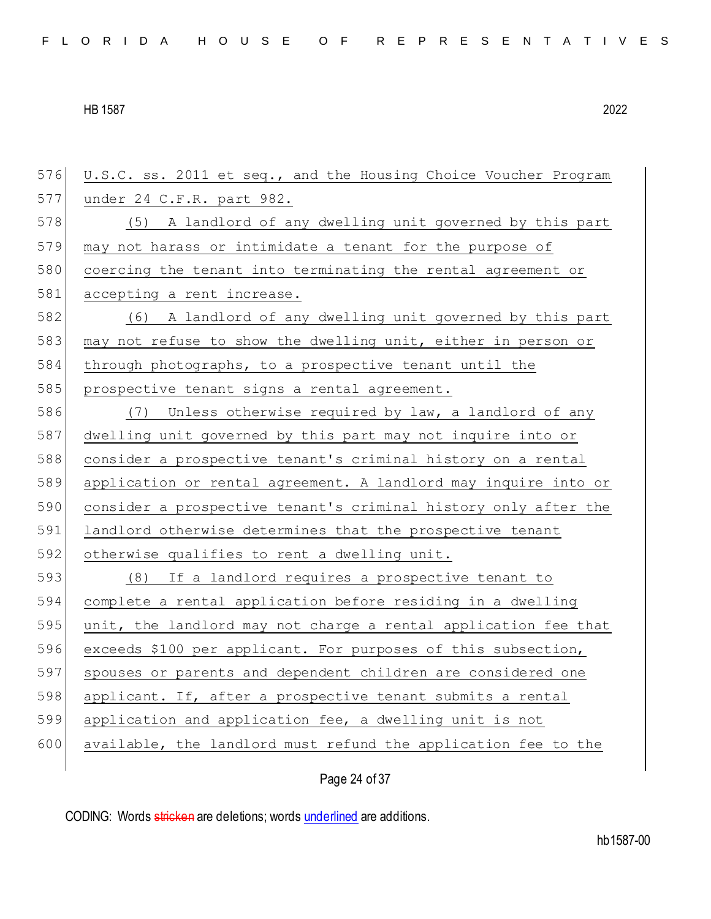U.S.C. ss. 2011 et seq., and the Housing Choice Voucher Program under 24 C.F.R. part 982. 578 (5) A landlord of any dwelling unit governed by this part may not harass or intimidate a tenant for the purpose of 580 coercing the tenant into terminating the rental agreement or 581 accepting a rent increase. (6) A landlord of any dwelling unit governed by this part 583 may not refuse to show the dwelling unit, either in person or through photographs, to a prospective tenant until the 585 prospective tenant signs a rental agreement. (7) Unless otherwise required by law, a landlord of any dwelling unit governed by this part may not inquire into or consider a prospective tenant's criminal history on a rental application or rental agreement. A landlord may inquire into or consider a prospective tenant's criminal history only after the 591 landlord otherwise determines that the prospective tenant 592 otherwise qualifies to rent a dwelling unit. (8) If a landlord requires a prospective tenant to complete a rental application before residing in a dwelling 595 unit, the landlord may not charge a rental application fee that exceeds \$100 per applicant. For purposes of this subsection, spouses or parents and dependent children are considered one 598 applicant. If, after a prospective tenant submits a rental application and application fee, a dwelling unit is not available, the landlord must refund the application fee to the

Page 24 of 37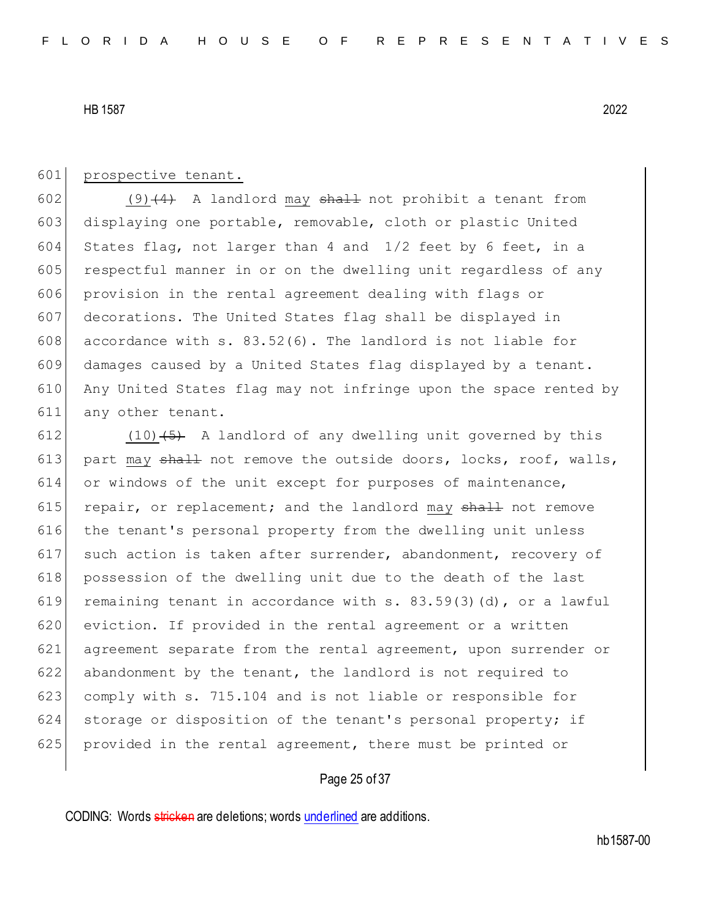#### 601 prospective tenant.

602 (9) $(4)$  A landlord may shall not prohibit a tenant from 603 displaying one portable, removable, cloth or plastic United 604 States flag, not larger than 4 and  $1/2$  feet by 6 feet, in a 605 respectful manner in or on the dwelling unit regardless of any 606 provision in the rental agreement dealing with flags or 607 decorations. The United States flag shall be displayed in 608 accordance with s.  $83.52(6)$ . The landlord is not liable for 609 damages caused by a United States flag displayed by a tenant. 610 Any United States flag may not infringe upon the space rented by 611 any other tenant.

612  $(10)$   $(5)$  A landlord of any dwelling unit governed by this 613 part may  $sh$ <sup>1</sup> not remove the outside doors, locks, roof, walls, 614 or windows of the unit except for purposes of maintenance, 615 repair, or replacement; and the landlord may  $shall$  not remove 616 the tenant's personal property from the dwelling unit unless 617 such action is taken after surrender, abandonment, recovery of 618 possession of the dwelling unit due to the death of the last 619 remaining tenant in accordance with  $s. 83.59(3)(d)$ , or a lawful 620 eviction. If provided in the rental agreement or a written 621 agreement separate from the rental agreement, upon surrender or 622 abandonment by the tenant, the landlord is not required to 623 comply with s. 715.104 and is not liable or responsible for 624 storage or disposition of the tenant's personal property; if 625 provided in the rental agreement, there must be printed or

# Page 25 of 37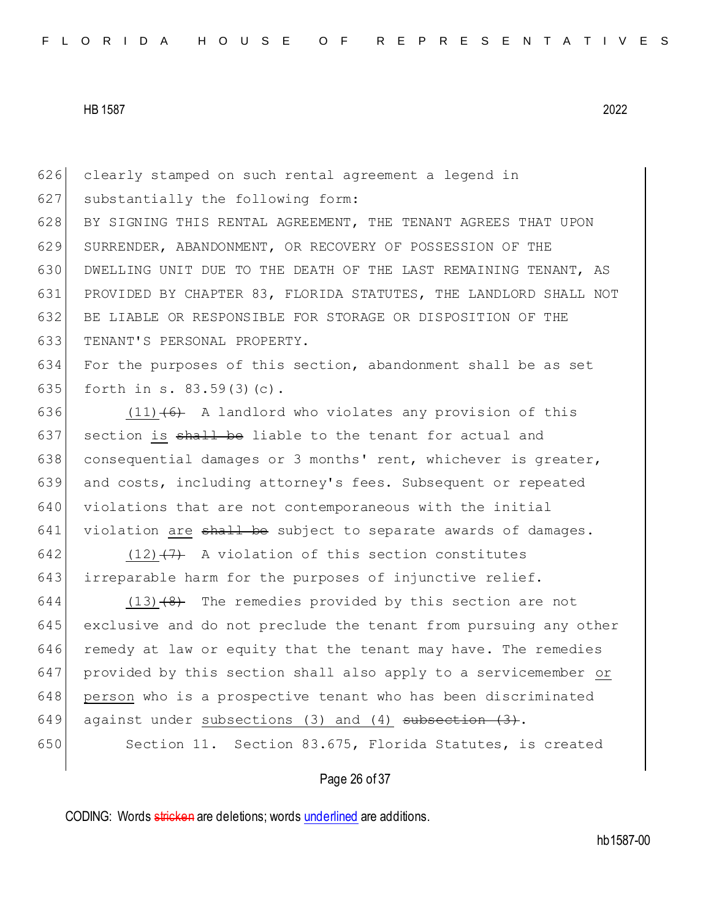clearly stamped on such rental agreement a legend in substantially the following form: 628 BY SIGNING THIS RENTAL AGREEMENT, THE TENANT AGREES THAT UPON SURRENDER, ABANDONMENT, OR RECOVERY OF POSSESSION OF THE DWELLING UNIT DUE TO THE DEATH OF THE LAST REMAINING TENANT, AS PROVIDED BY CHAPTER 83, FLORIDA STATUTES, THE LANDLORD SHALL NOT BE LIABLE OR RESPONSIBLE FOR STORAGE OR DISPOSITION OF THE TENANT'S PERSONAL PROPERTY.

634 For the purposes of this section, abandonment shall be as set 635 forth in s.  $83.59(3)(c)$ .

636 (11) $(6)$  A landlord who violates any provision of this 637 section is  $\frac{1}{2}$  shall be liable to the tenant for actual and 638 consequential damages or 3 months' rent, whichever is greater, 639 and costs, including attorney's fees. Subsequent or repeated 640 violations that are not contemporaneous with the initial  $641$  violation are  $shall$  be subject to separate awards of damages.

642 (12) $(7)$  A violation of this section constitutes 643 irreparable harm for the purposes of injunctive relief.

 $644$  (13)  $\left(8\right)$  The remedies provided by this section are not 645 exclusive and do not preclude the tenant from pursuing any other 646 remedy at law or equity that the tenant may have. The remedies 647 provided by this section shall also apply to a servicemember or 648 person who is a prospective tenant who has been discriminated 649 against under subsections (3) and (4) subsection  $(3)$ .

650 Section 11. Section 83.675, Florida Statutes, is created

## Page 26 of 37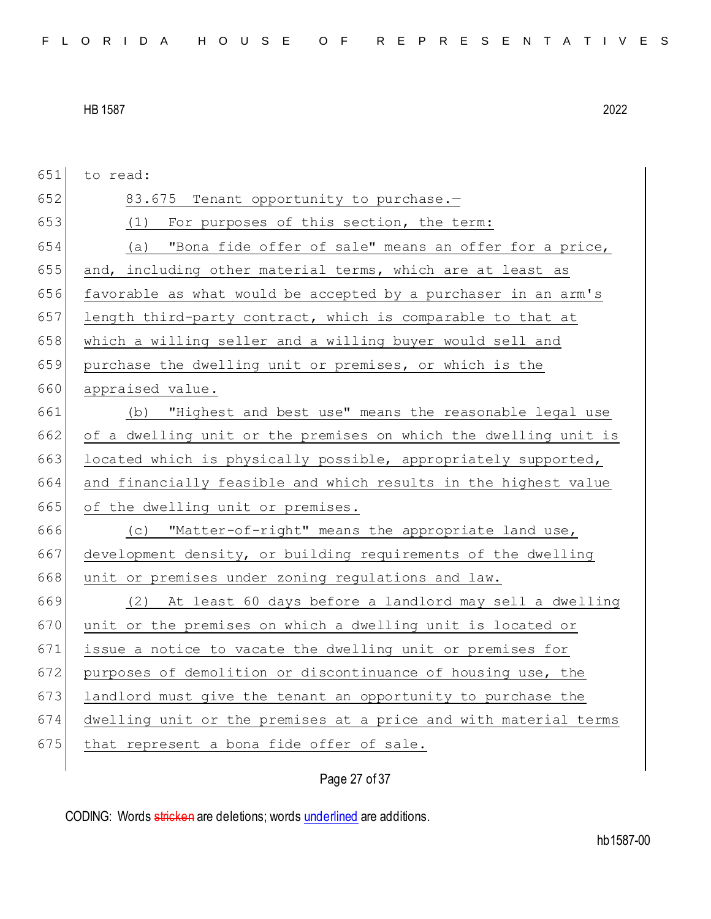651 to read: 652 83.675 Tenant opportunity to purchase.-653 (1) For purposes of this section, the term: 654 (a) "Bona fide offer of sale" means an offer for a price,  $655$  and, including other material terms, which are at least as 656 favorable as what would be accepted by a purchaser in an arm's  $657$  length third-party contract, which is comparable to that at 658 which a willing seller and a willing buyer would sell and 659 purchase the dwelling unit or premises, or which is the 660 appraised value. 661 (b) "Highest and best use" means the reasonable legal use 662 of a dwelling unit or the premises on which the dwelling unit is 663 located which is physically possible, appropriately supported, 664 and financially feasible and which results in the highest value 665 of the dwelling unit or premises. 666 (c) "Matter-of-right" means the appropriate land use, 667 development density, or building requirements of the dwelling 668 unit or premises under zoning regulations and law. 669 (2) At least 60 days before a landlord may sell a dwelling 670 unit or the premises on which a dwelling unit is located or 671 issue a notice to vacate the dwelling unit or premises for 672 purposes of demolition or discontinuance of housing use, the 673 landlord must give the tenant an opportunity to purchase the 674 dwelling unit or the premises at a price and with material terms  $675$  that represent a bona fide offer of sale.

Page 27 of 37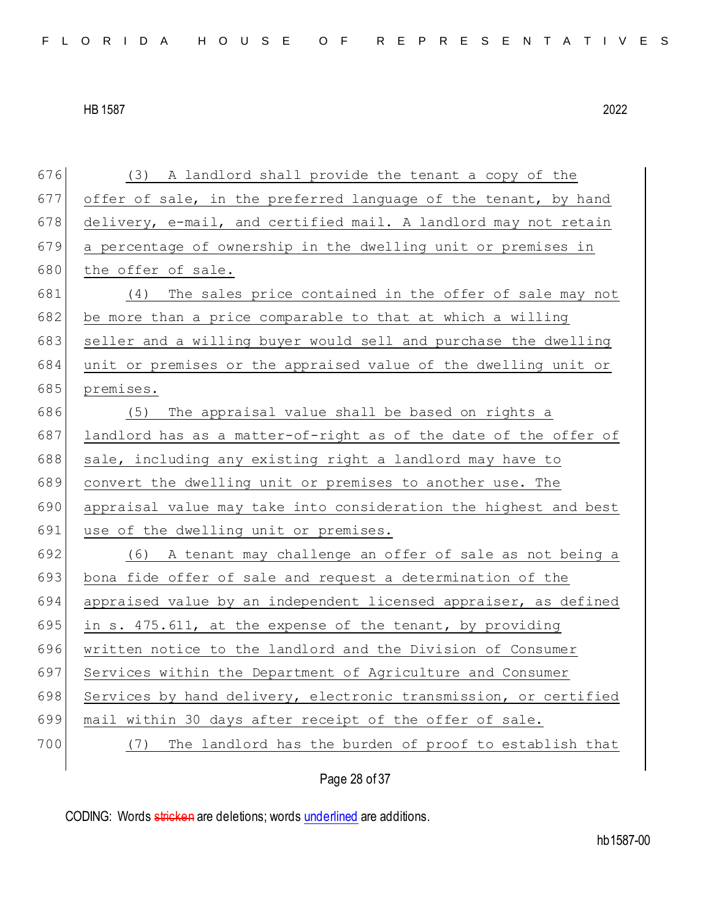(3) A landlord shall provide the tenant a copy of the offer of sale, in the preferred language of the tenant, by hand 678 delivery, e-mail, and certified mail. A landlord may not retain a percentage of ownership in the dwelling unit or premises in 680 the offer of sale. (4) The sales price contained in the offer of sale may not 682 be more than a price comparable to that at which a willing 683 seller and a willing buyer would sell and purchase the dwelling unit or premises or the appraised value of the dwelling unit or premises. (5) The appraisal value shall be based on rights a landlord has as a matter-of-right as of the date of the offer of sale, including any existing right a landlord may have to convert the dwelling unit or premises to another use. The appraisal value may take into consideration the highest and best 691 use of the dwelling unit or premises.  $(6)$  A tenant may challenge an offer of sale as not being a bona fide offer of sale and request a determination of the 694 appraised value by an independent licensed appraiser, as defined 695 in s. 475.611, at the expense of the tenant, by providing written notice to the landlord and the Division of Consumer 697 Services within the Department of Agriculture and Consumer 698 Services by hand delivery, electronic transmission, or certified mail within 30 days after receipt of the offer of sale. (7) The landlord has the burden of proof to establish that

Page 28 of 37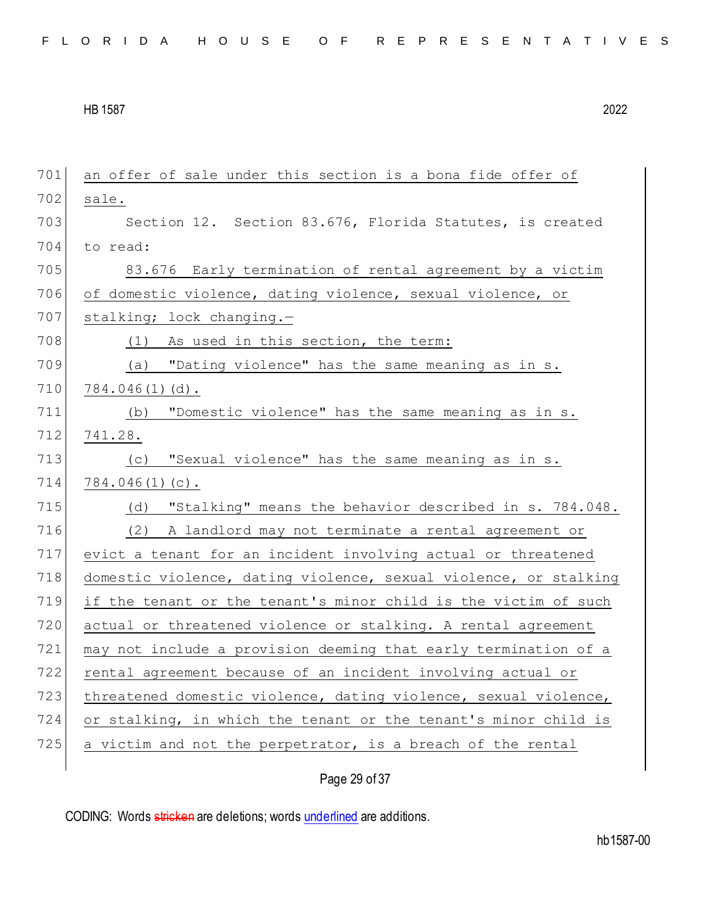| 701 | an offer of sale under this section is a bona fide offer of      |
|-----|------------------------------------------------------------------|
| 702 | sale.                                                            |
| 703 | Section 12. Section 83.676, Florida Statutes, is created         |
| 704 | to read:                                                         |
| 705 | 83.676 Early termination of rental agreement by a victim         |
| 706 | of domestic violence, dating violence, sexual violence, or       |
| 707 | stalking; lock changing.-                                        |
| 708 | (1) As used in this section, the term:                           |
| 709 | (a) "Dating violence" has the same meaning as in s.              |
| 710 | $784.046(1)$ (d).                                                |
| 711 | "Domestic violence" has the same meaning as in s.<br>(b)         |
| 712 | 741.28.                                                          |
| 713 | "Sexual violence" has the same meaning as in s.<br>(C)           |
| 714 | $784.046(1)(c)$ .                                                |
| 715 | "Stalking" means the behavior described in s. 784.048.<br>(d)    |
| 716 | (2) A landlord may not terminate a rental agreement or           |
| 717 | evict a tenant for an incident involving actual or threatened    |
| 718 | domestic violence, dating violence, sexual violence, or stalking |
| 719 | if the tenant or the tenant's minor child is the victim of such  |
| 720 | actual or threatened violence or stalking. A rental agreement    |
| 721 | may not include a provision deeming that early termination of a  |
| 722 | rental agreement because of an incident involving actual or      |
| 723 | threatened domestic violence, dating violence, sexual violence,  |
| 724 | or stalking, in which the tenant or the tenant's minor child is  |
| 725 | a victim and not the perpetrator, is a breach of the rental      |
|     |                                                                  |

Page 29 of 37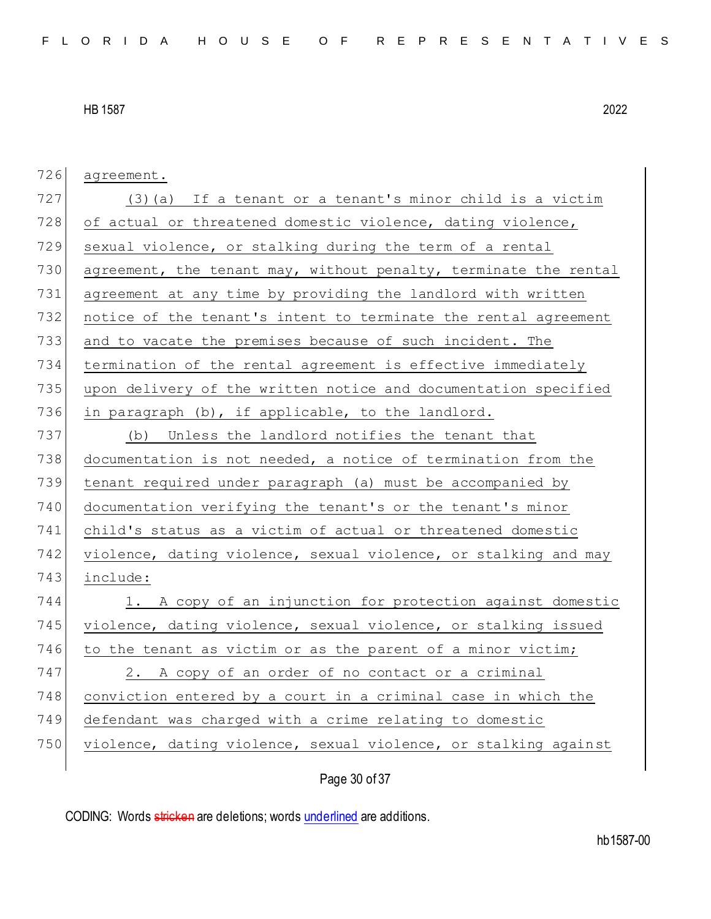| 726 | agreement.                                                       |
|-----|------------------------------------------------------------------|
| 727 | (3) (a) If a tenant or a tenant's minor child is a victim        |
| 728 | of actual or threatened domestic violence, dating violence,      |
| 729 | sexual violence, or stalking during the term of a rental         |
| 730 | agreement, the tenant may, without penalty, terminate the rental |
| 731 | agreement at any time by providing the landlord with written     |
| 732 | notice of the tenant's intent to terminate the rental agreement  |
| 733 | and to vacate the premises because of such incident. The         |
| 734 | termination of the rental agreement is effective immediately     |
| 735 | upon delivery of the written notice and documentation specified  |
| 736 | in paragraph (b), if applicable, to the landlord.                |
| 737 | (b) Unless the landlord notifies the tenant that                 |
| 738 | documentation is not needed, a notice of termination from the    |
| 739 | tenant required under paragraph (a) must be accompanied by       |
| 740 | documentation verifying the tenant's or the tenant's minor       |
| 741 | child's status as a victim of actual or threatened domestic      |
| 742 | violence, dating violence, sexual violence, or stalking and may  |
| 743 | include:                                                         |
| 744 | 1. A copy of an injunction for protection against domestic       |
| 745 | violence, dating violence, sexual violence, or stalking issued   |
| 746 | to the tenant as victim or as the parent of a minor victim;      |
| 747 | 2. A copy of an order of no contact or a criminal                |
| 748 | conviction entered by a court in a criminal case in which the    |
| 749 | defendant was charged with a crime relating to domestic          |
| 750 | violence, dating violence, sexual violence, or stalking against  |
|     |                                                                  |

Page 30 of 37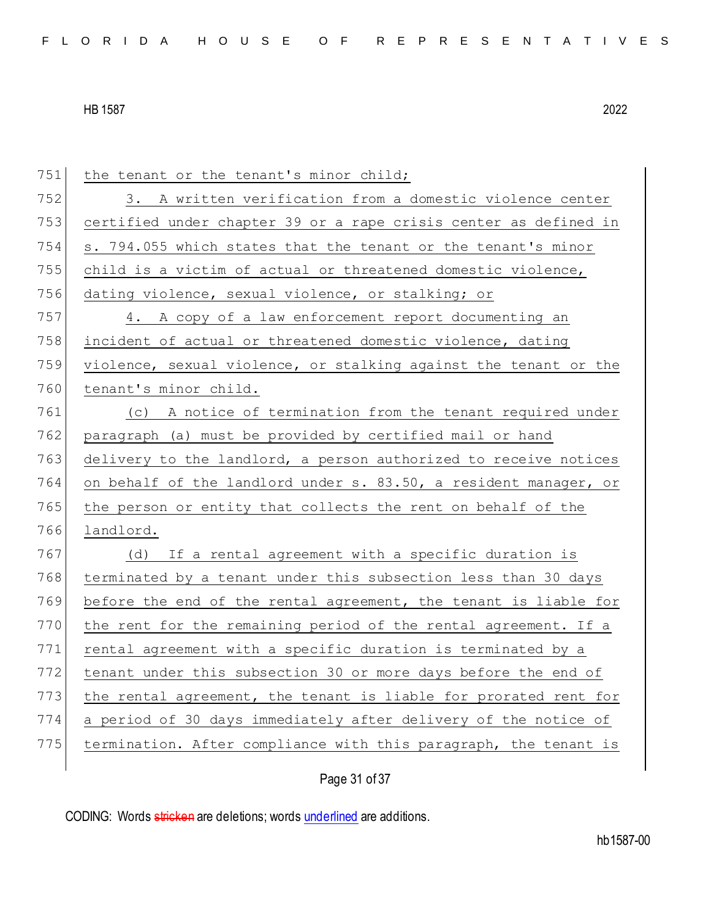| 751 | the tenant or the tenant's minor child;                          |
|-----|------------------------------------------------------------------|
| 752 | 3. A written verification from a domestic violence center        |
| 753 | certified under chapter 39 or a rape crisis center as defined in |
| 754 | s. 794.055 which states that the tenant or the tenant's minor    |
| 755 | child is a victim of actual or threatened domestic violence,     |
| 756 | dating violence, sexual violence, or stalking; or                |
| 757 | 4. A copy of a law enforcement report documenting an             |
| 758 | incident of actual or threatened domestic violence, dating       |
| 759 | violence, sexual violence, or stalking against the tenant or the |
| 760 | tenant's minor child.                                            |
| 761 | (c) A notice of termination from the tenant required under       |
| 762 | paragraph (a) must be provided by certified mail or hand         |
| 763 | delivery to the landlord, a person authorized to receive notices |
| 764 | on behalf of the landlord under s. 83.50, a resident manager, or |
| 765 | the person or entity that collects the rent on behalf of the     |
| 766 | landlord.                                                        |
| 767 | (d) If a rental agreement with a specific duration is            |
| 768 | terminated by a tenant under this subsection less than 30 days   |
| 769 | before the end of the rental agreement, the tenant is liable for |
| 770 | the rent for the remaining period of the rental agreement. If a  |
| 771 | rental agreement with a specific duration is terminated by a     |
| 772 | tenant under this subsection 30 or more days before the end of   |
| 773 | the rental agreement, the tenant is liable for prorated rent for |
| 774 | a period of 30 days immediately after delivery of the notice of  |
| 775 | termination. After compliance with this paragraph, the tenant is |
|     |                                                                  |

Page 31 of 37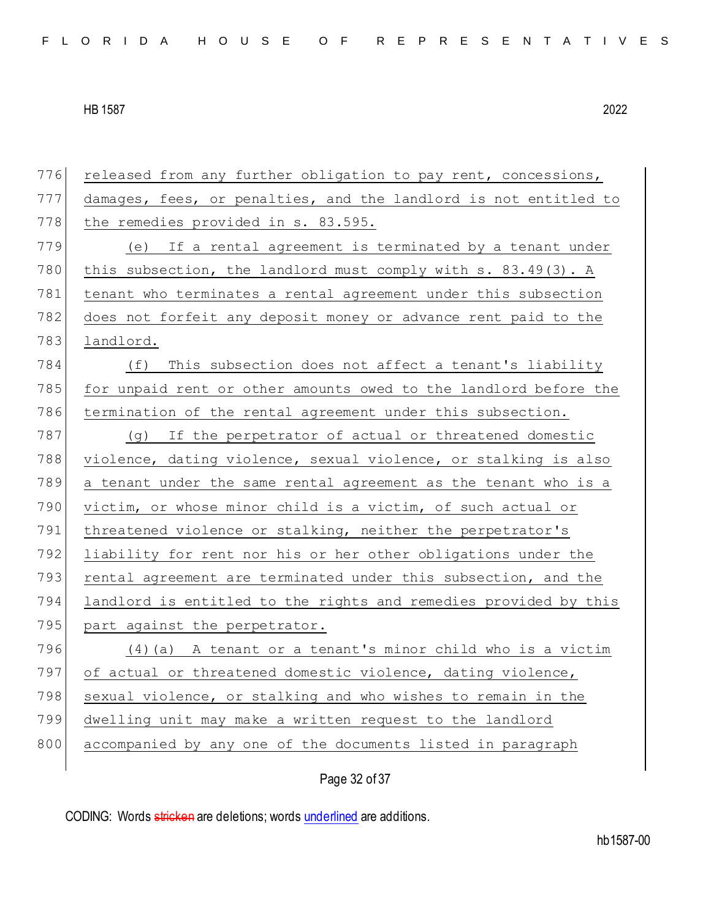| 776 | released from any further obligation to pay rent, concessions,   |
|-----|------------------------------------------------------------------|
| 777 | damages, fees, or penalties, and the landlord is not entitled to |
| 778 | the remedies provided in s. 83.595.                              |
| 779 | If a rental agreement is terminated by a tenant under<br>(e)     |
| 780 | this subsection, the landlord must comply with s. 83.49(3). A    |
| 781 | tenant who terminates a rental agreement under this subsection   |
| 782 | does not forfeit any deposit money or advance rent paid to the   |
| 783 | landlord.                                                        |
| 784 | This subsection does not affect a tenant's liability<br>(f)      |
| 785 | for unpaid rent or other amounts owed to the landlord before the |
| 786 | termination of the rental agreement under this subsection.       |
| 787 | (g) If the perpetrator of actual or threatened domestic          |
| 788 | violence, dating violence, sexual violence, or stalking is also  |
| 789 | a tenant under the same rental agreement as the tenant who is a  |
| 790 | victim, or whose minor child is a victim, of such actual or      |
| 791 | threatened violence or stalking, neither the perpetrator's       |
| 792 | liability for rent nor his or her other obligations under the    |
| 793 | rental agreement are terminated under this subsection, and the   |
| 794 | landlord is entitled to the rights and remedies provided by this |
| 795 | part against the perpetrator.                                    |
| 796 | (4) (a) A tenant or a tenant's minor child who is a victim       |
| 797 | of actual or threatened domestic violence, dating violence,      |
| 798 | sexual violence, or stalking and who wishes to remain in the     |
| 799 | dwelling unit may make a written request to the landlord         |
| 800 | accompanied by any one of the documents listed in paragraph      |
|     |                                                                  |

Page 32 of 37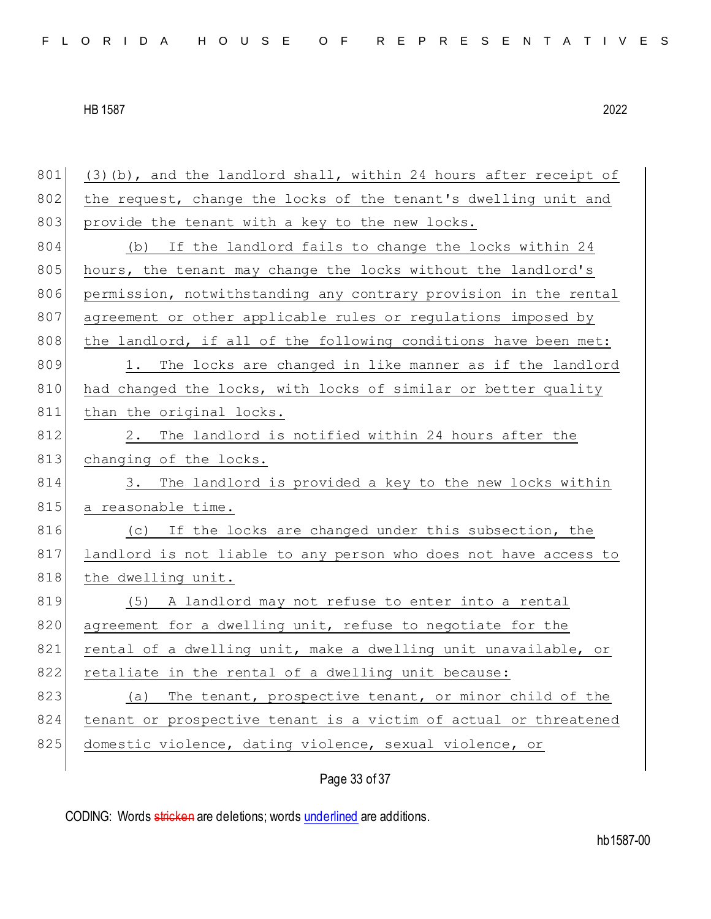$801$  (3)(b), and the landlord shall, within 24 hours after receipt of 802 the request, change the locks of the tenant's dwelling unit and 803 provide the tenant with a key to the new locks. 804 (b) If the landlord fails to change the locks within 24 805 hours, the tenant may change the locks without the landlord's 806 permission, notwithstanding any contrary provision in the rental 807 agreement or other applicable rules or regulations imposed by 808 the landlord, if all of the following conditions have been met: 809 1. The locks are changed in like manner as if the landlord 810 had changed the locks, with locks of similar or better quality 811 than the original locks. 812 2. The landlord is notified within 24 hours after the 813 changing of the locks. 814 3. The landlord is provided a key to the new locks within 815 a reasonable time. 816 (c) If the locks are changed under this subsection, the 817 landlord is not liable to any person who does not have access to 818 the dwelling unit. 819 (5) A landlord may not refuse to enter into a rental 820 agreement for a dwelling unit, refuse to negotiate for the 821 rental of a dwelling unit, make a dwelling unit unavailable, or 822 retaliate in the rental of a dwelling unit because: 823 (a) The tenant, prospective tenant, or minor child of the 824 tenant or prospective tenant is a victim of actual or threatened 825 domestic violence, dating violence, sexual violence, or

Page 33 of 37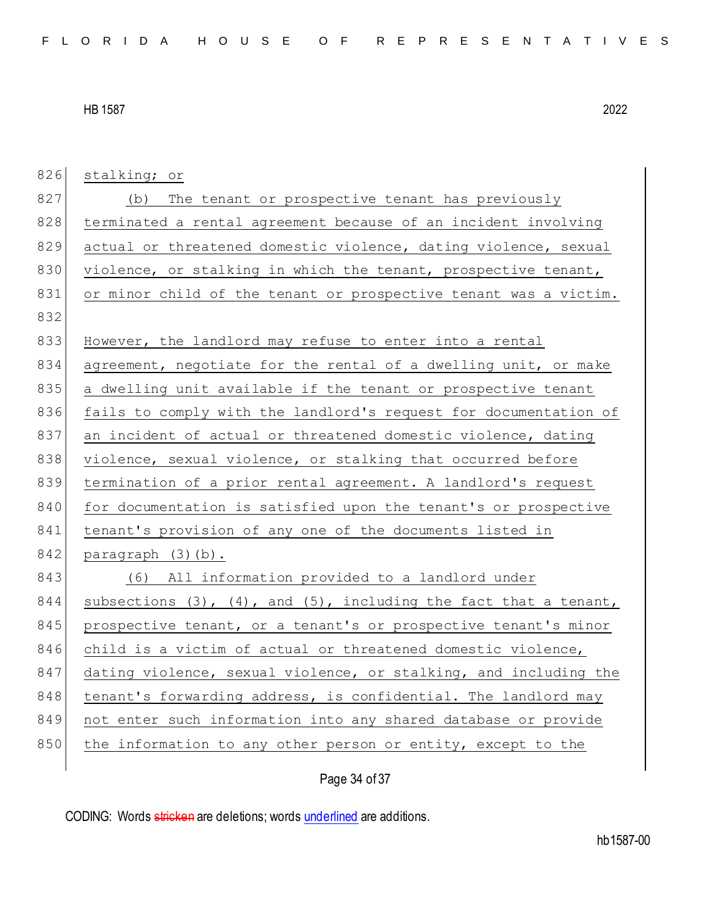| 826 | stalking; or                                                              |
|-----|---------------------------------------------------------------------------|
| 827 | (b) The tenant or prospective tenant has previously                       |
| 828 | terminated a rental agreement because of an incident involving            |
| 829 | actual or threatened domestic violence, dating violence, sexual           |
| 830 | violence, or stalking in which the tenant, prospective tenant,            |
| 831 | or minor child of the tenant or prospective tenant was a victim.          |
| 832 |                                                                           |
| 833 | However, the landlord may refuse to enter into a rental                   |
| 834 | agreement, negotiate for the rental of a dwelling unit, or make           |
| 835 | a dwelling unit available if the tenant or prospective tenant             |
| 836 | fails to comply with the landlord's request for documentation of          |
| 837 | an incident of actual or threatened domestic violence, dating             |
| 838 | violence, sexual violence, or stalking that occurred before               |
| 839 | termination of a prior rental agreement. A landlord's request             |
| 840 | for documentation is satisfied upon the tenant's or prospective           |
| 841 | tenant's provision of any one of the documents listed in                  |
| 842 | paragraph (3)(b).                                                         |
| 843 | (6) All information provided to a landlord under                          |
| 844 | subsections $(3)$ , $(4)$ , and $(5)$ , including the fact that a tenant, |
| 845 | prospective tenant, or a tenant's or prospective tenant's minor           |
| 846 | child is a victim of actual or threatened domestic violence,              |
| 847 | dating violence, sexual violence, or stalking, and including the          |
| 848 | tenant's forwarding address, is confidential. The landlord may            |
| 849 | not enter such information into any shared database or provide            |
| 850 | the information to any other person or entity, except to the              |
|     |                                                                           |

# Page 34 of 37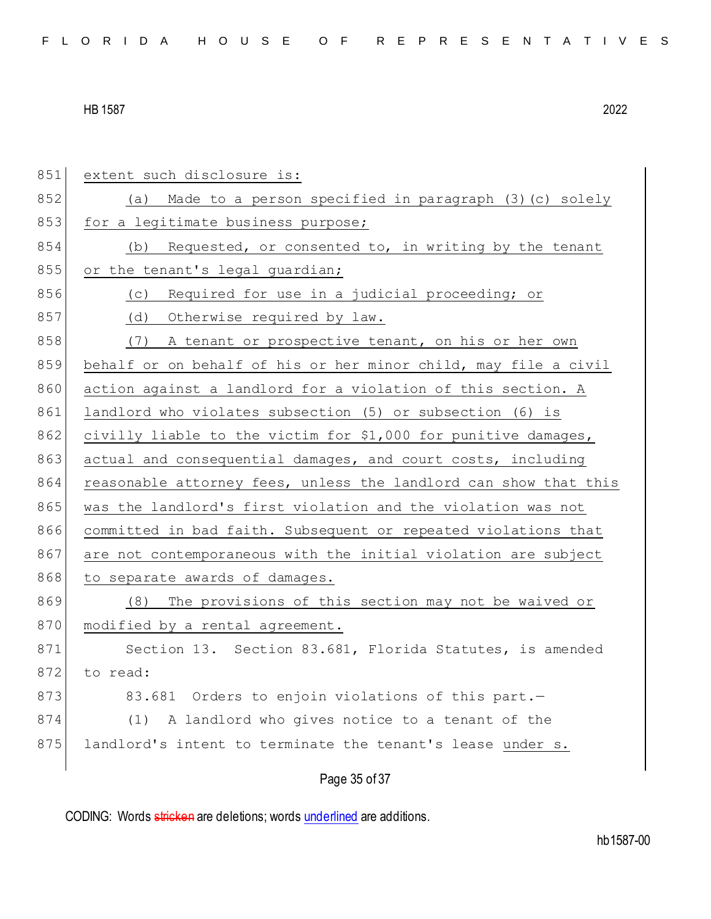Page 35 of 37 851 extent such disclosure is: 852 (a) Made to a person specified in paragraph (3) (c) solely 853 for a legitimate business purpose; 854 (b) Requested, or consented to, in writing by the tenant 855 or the tenant's legal quardian; 856 (c) Required for use in a judicial proceeding; or 857 (d) Otherwise required by law. 858 (7) A tenant or prospective tenant, on his or her own 859 behalf or on behalf of his or her minor child, may file a civil 860 action against a landlord for a violation of this section. A 861 landlord who violates subsection (5) or subsection (6) is 862 civilly liable to the victim for \$1,000 for punitive damages, 863 actual and consequential damages, and court costs, including 864 reasonable attorney fees, unless the landlord can show that this 865 was the landlord's first violation and the violation was not 866 committed in bad faith. Subsequent or repeated violations that 867 are not contemporaneous with the initial violation are subject 868 to separate awards of damages. 869 (8) The provisions of this section may not be waived or 870 modified by a rental agreement. 871 Section 13. Section 83.681, Florida Statutes, is amended 872 to read: 873 83.681 Orders to enjoin violations of this part. 874 (1) A landlord who gives notice to a tenant of the 875 landlord's intent to terminate the tenant's lease under s.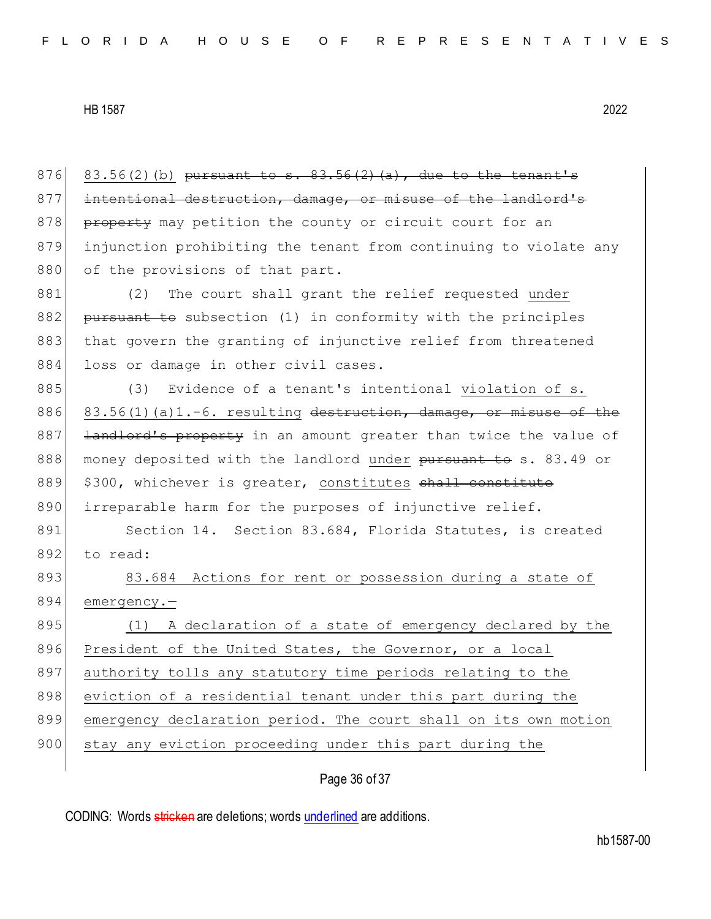876 83.56(2)(b) <del>pursuant to s. 83.56(2)(a), due to the tenant's</del> 877 intentional destruction, damage, or misuse of the landlord's 878 **property** may petition the county or circuit court for an 879 injunction prohibiting the tenant from continuing to violate any 880 of the provisions of that part.

881 (2) The court shall grant the relief requested under 882 pursuant to subsection (1) in conformity with the principles 883 that govern the granting of injunctive relief from threatened 884 loss or damage in other civil cases.

885 (3) Evidence of a tenant's intentional violation of s. 886 83.56(1)(a)1.-6. resulting destruction, damage, or misuse of the 887 <del>landlord's property</del> in an amount greater than twice the value of 888 money deposited with the landlord under pursuant to s. 83.49 or 889 \$300, whichever is greater, constitutes shall constitute 890 irreparable harm for the purposes of injunctive relief.

891 Section 14. Section 83.684, Florida Statutes, is created 892 to read:

893 83.684 Actions for rent or possession during a state of 894 emergency.—

895 (1) A declaration of a state of emergency declared by the 896 President of the United States, the Governor, or a local 897 authority tolls any statutory time periods relating to the 898 eviction of a residential tenant under this part during the 899 emergency declaration period. The court shall on its own motion 900 stay any eviction proceeding under this part during the

Page 36 of 37